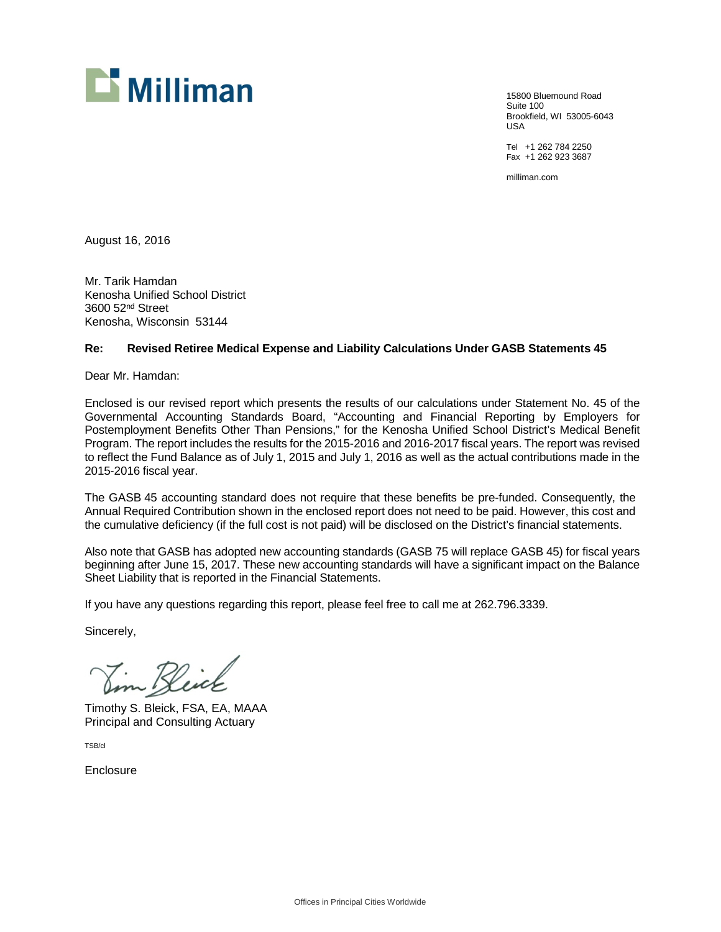

15800 Bluemound Road Suite 100 Brookfield, WI 53005-6043 USA

Tel +1 262 784 2250 Fax +1 262 923 3687

milliman.com

August 16, 2016

Mr. Tarik Hamdan Kenosha Unified School District 3600 52nd Street Kenosha, Wisconsin 53144

### **Re: Revised Retiree Medical Expense and Liability Calculations Under GASB Statements 45**

Dear Mr. Hamdan:

Enclosed is our revised report which presents the results of our calculations under Statement No. 45 of the Governmental Accounting Standards Board, "Accounting and Financial Reporting by Employers for Postemployment Benefits Other Than Pensions," for the Kenosha Unified School District's Medical Benefit Program. The report includes the results for the 2015-2016 and 2016-2017 fiscal years. The report was revised to reflect the Fund Balance as of July 1, 2015 and July 1, 2016 as well as the actual contributions made in the 2015-2016 fiscal year.

The GASB 45 accounting standard does not require that these benefits be pre-funded. Consequently, the Annual Required Contribution shown in the enclosed report does not need to be paid. However, this cost and the cumulative deficiency (if the full cost is not paid) will be disclosed on the District's financial statements.

Also note that GASB has adopted new accounting standards (GASB 75 will replace GASB 45) for fiscal years beginning after June 15, 2017. These new accounting standards will have a significant impact on the Balance Sheet Liability that is reported in the Financial Statements.

If you have any questions regarding this report, please feel free to call me at 262.796.3339.

Sincerely,

Jim Kleick

Timothy S. Bleick, FSA, EA, MAAA Principal and Consulting Actuary

TSB/cl

Enclosure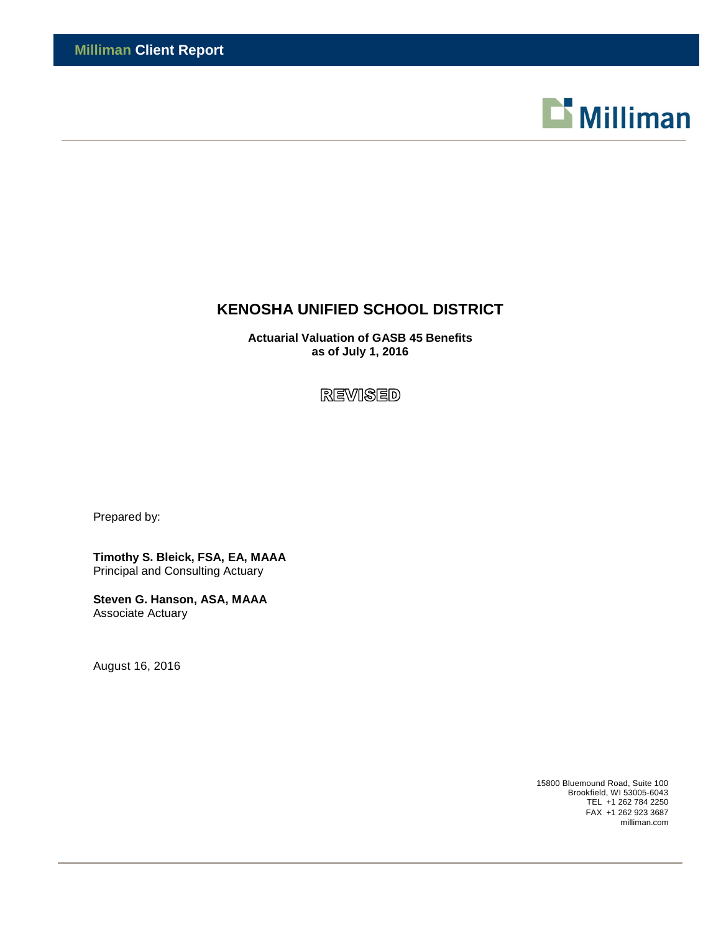

# **KENOSHA UNIFIED SCHOOL DISTRICT**

**Actuarial Valuation of GASB 45 Benefits as of July 1, 2016**

**REVISED** 

Prepared by:

**Timothy S. Bleick, FSA, EA, MAAA** Principal and Consulting Actuary

**Steven G. Hanson, ASA, MAAA** Associate Actuary

August 16, 2016

15800 Bluemound Road, Suite 100 Brookfield, WI 53005-6043 TEL +1 262 784 2250 FAX +1 262 923 3687 milliman.com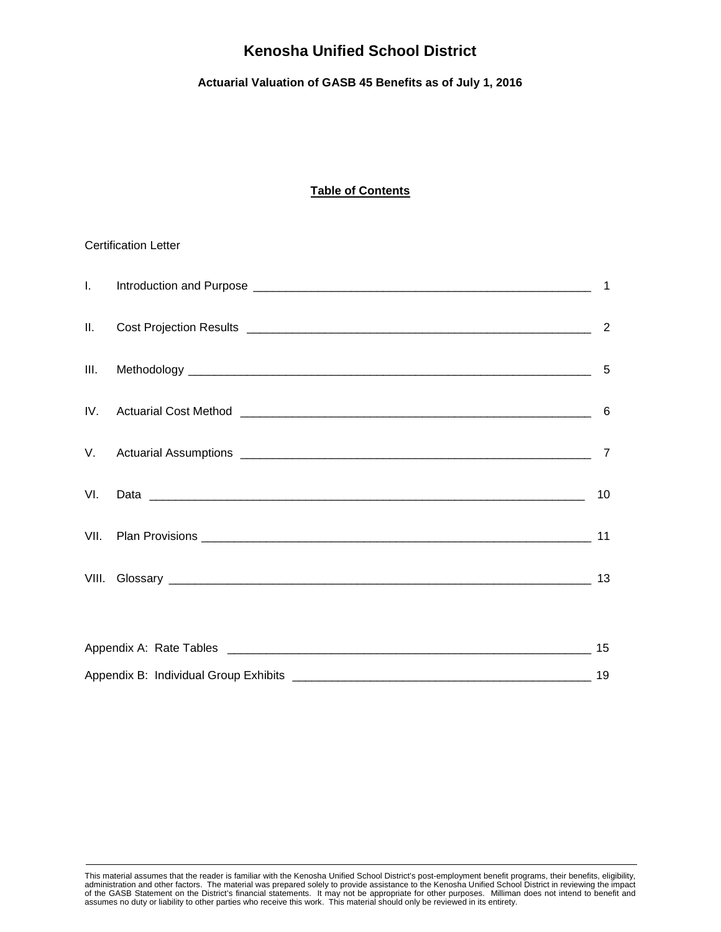# **Actuarial Valuation of GASB 45 Benefits as of July 1, 2016**

# **Table of Contents**

### Certification Letter

|          | $\overline{1}$ |
|----------|----------------|
| Ш.       | $\overline{2}$ |
| III.     |                |
| $IV_{-}$ |                |
|          |                |
| VI.      | 10             |
| VII.     | 11             |
|          | 13             |
|          |                |
|          | 15             |

| Appendix B: Individual Group Exhibits |  |
|---------------------------------------|--|

This material assumes that the reader is familiar with the Kenosha Unified School District's post-employment benefit programs, their benefits, eligibility,<br>administration and other factors. The material was prepared solely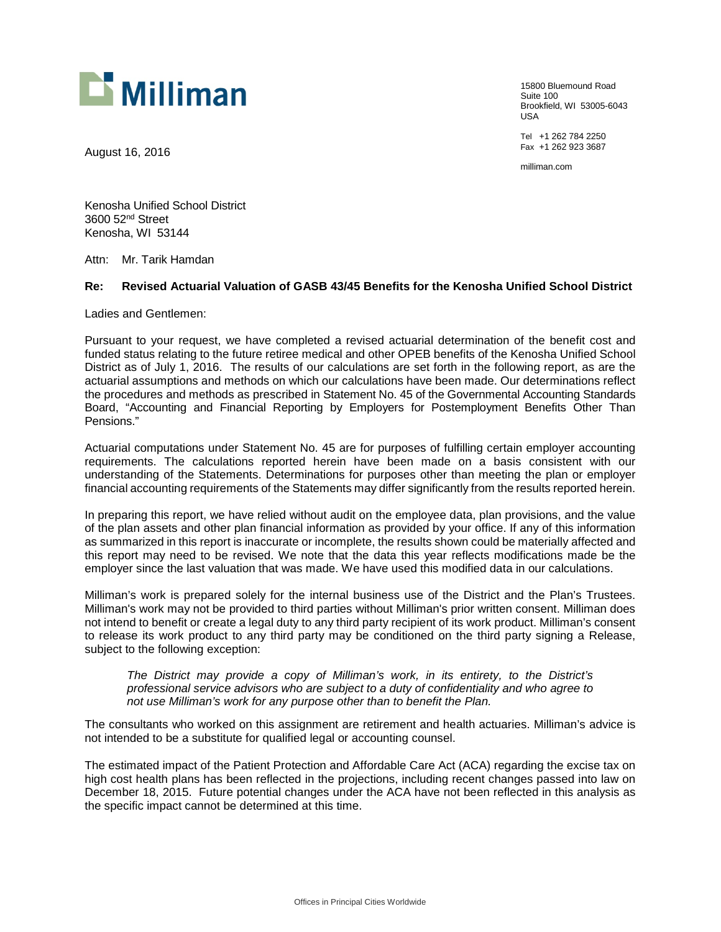

August 16, 2016

15800 Bluemound Road Suite 100 Brookfield, WI 53005-6043 USA

Tel +1 262 784 2250 Fax +1 262 923 3687

milliman.com

Kenosha Unified School District 3600 52nd Street Kenosha, WI 53144

Attn: Mr. Tarik Hamdan

#### **Re: Revised Actuarial Valuation of GASB 43/45 Benefits for the Kenosha Unified School District**

Ladies and Gentlemen:

Pursuant to your request, we have completed a revised actuarial determination of the benefit cost and funded status relating to the future retiree medical and other OPEB benefits of the Kenosha Unified School District as of July 1, 2016. The results of our calculations are set forth in the following report, as are the actuarial assumptions and methods on which our calculations have been made. Our determinations reflect the procedures and methods as prescribed in Statement No. 45 of the Governmental Accounting Standards Board, "Accounting and Financial Reporting by Employers for Postemployment Benefits Other Than Pensions."

Actuarial computations under Statement No. 45 are for purposes of fulfilling certain employer accounting requirements. The calculations reported herein have been made on a basis consistent with our understanding of the Statements. Determinations for purposes other than meeting the plan or employer financial accounting requirements of the Statements may differ significantly from the results reported herein.

In preparing this report, we have relied without audit on the employee data, plan provisions, and the value of the plan assets and other plan financial information as provided by your office. If any of this information as summarized in this report is inaccurate or incomplete, the results shown could be materially affected and this report may need to be revised. We note that the data this year reflects modifications made be the employer since the last valuation that was made. We have used this modified data in our calculations.

Milliman's work is prepared solely for the internal business use of the District and the Plan's Trustees. Milliman's work may not be provided to third parties without Milliman's prior written consent. Milliman does not intend to benefit or create a legal duty to any third party recipient of its work product. Milliman's consent to release its work product to any third party may be conditioned on the third party signing a Release, subject to the following exception:

*The District may provide a copy of Milliman's work, in its entirety, to the District's professional service advisors who are subject to a duty of confidentiality and who agree to not use Milliman's work for any purpose other than to benefit the Plan.*

The consultants who worked on this assignment are retirement and health actuaries. Milliman's advice is not intended to be a substitute for qualified legal or accounting counsel.

The estimated impact of the Patient Protection and Affordable Care Act (ACA) regarding the excise tax on high cost health plans has been reflected in the projections, including recent changes passed into law on December 18, 2015. Future potential changes under the ACA have not been reflected in this analysis as the specific impact cannot be determined at this time.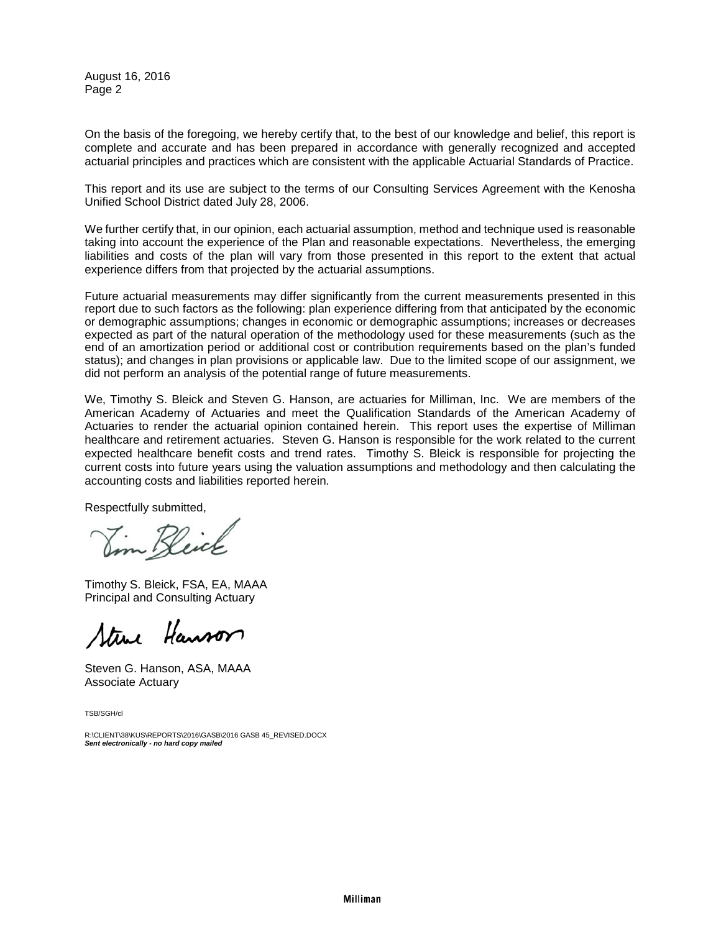August 16, 2016 Page 2

On the basis of the foregoing, we hereby certify that, to the best of our knowledge and belief, this report is complete and accurate and has been prepared in accordance with generally recognized and accepted actuarial principles and practices which are consistent with the applicable Actuarial Standards of Practice.

This report and its use are subject to the terms of our Consulting Services Agreement with the Kenosha Unified School District dated July 28, 2006.

We further certify that, in our opinion, each actuarial assumption, method and technique used is reasonable taking into account the experience of the Plan and reasonable expectations. Nevertheless, the emerging liabilities and costs of the plan will vary from those presented in this report to the extent that actual experience differs from that projected by the actuarial assumptions.

Future actuarial measurements may differ significantly from the current measurements presented in this report due to such factors as the following: plan experience differing from that anticipated by the economic or demographic assumptions; changes in economic or demographic assumptions; increases or decreases expected as part of the natural operation of the methodology used for these measurements (such as the end of an amortization period or additional cost or contribution requirements based on the plan's funded status); and changes in plan provisions or applicable law. Due to the limited scope of our assignment, we did not perform an analysis of the potential range of future measurements.

We, Timothy S. Bleick and Steven G. Hanson, are actuaries for Milliman, Inc. We are members of the American Academy of Actuaries and meet the Qualification Standards of the American Academy of Actuaries to render the actuarial opinion contained herein. This report uses the expertise of Milliman healthcare and retirement actuaries. Steven G. Hanson is responsible for the work related to the current expected healthcare benefit costs and trend rates. Timothy S. Bleick is responsible for projecting the current costs into future years using the valuation assumptions and methodology and then calculating the accounting costs and liabilities reported herein.

Respectfully submitted,

Jim Keick

Timothy S. Bleick, FSA, EA, MAAA Principal and Consulting Actuary

Steve Hanson

Steven G. Hanson, ASA, MAAA Associate Actuary

TSB/SGH/cl

R:\CLIENT\38\KUS\REPORTS\2016\GASB\2016 GASB 45\_REVISED.DOCX *Sent electronically - no hard copy mailed*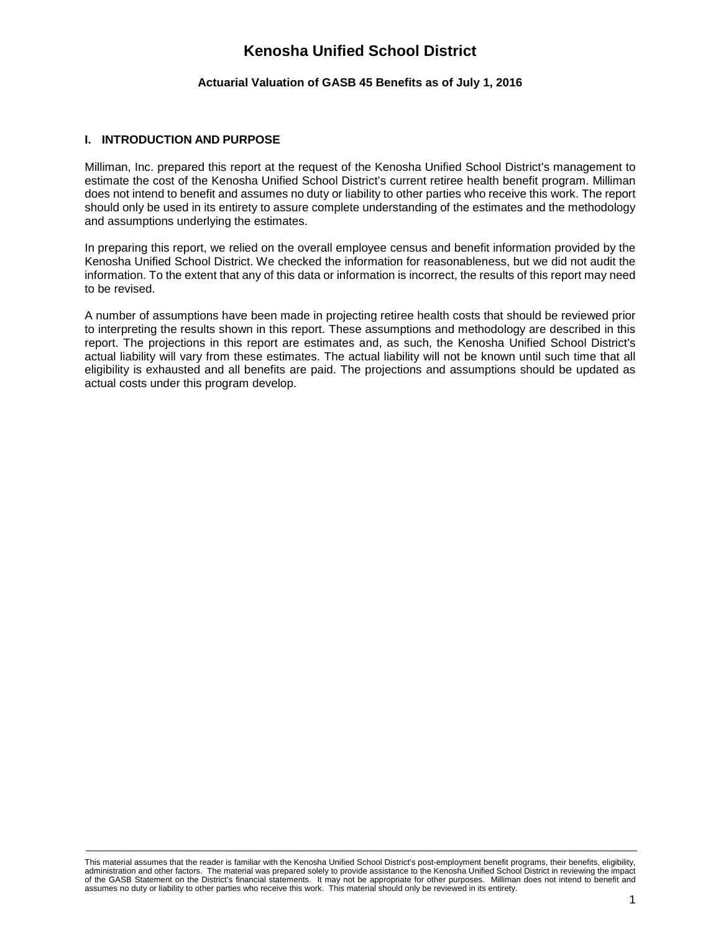## **Actuarial Valuation of GASB 45 Benefits as of July 1, 2016**

# **I. INTRODUCTION AND PURPOSE**

Milliman, Inc. prepared this report at the request of the Kenosha Unified School District's management to estimate the cost of the Kenosha Unified School District's current retiree health benefit program. Milliman does not intend to benefit and assumes no duty or liability to other parties who receive this work. The report should only be used in its entirety to assure complete understanding of the estimates and the methodology and assumptions underlying the estimates.

In preparing this report, we relied on the overall employee census and benefit information provided by the Kenosha Unified School District. We checked the information for reasonableness, but we did not audit the information. To the extent that any of this data or information is incorrect, the results of this report may need to be revised.

A number of assumptions have been made in projecting retiree health costs that should be reviewed prior to interpreting the results shown in this report. These assumptions and methodology are described in this report. The projections in this report are estimates and, as such, the Kenosha Unified School District's actual liability will vary from these estimates. The actual liability will not be known until such time that all eligibility is exhausted and all benefits are paid. The projections and assumptions should be updated as actual costs under this program develop.

This material assumes that the reader is familiar with the Kenosha Unified School District's post-employment benefit programs, their benefits, eligibility, administration and other factors. The material was prepared solely to provide assistance to the Kenosha Unified School District in reviewing the impact of the GASB Statement on the District's financial statements. It may not be appropriate for other purposes. Milliman does not intend to benefit and assumes no duty or liability to other parties who receive this work. This material should only be reviewed in its entirety.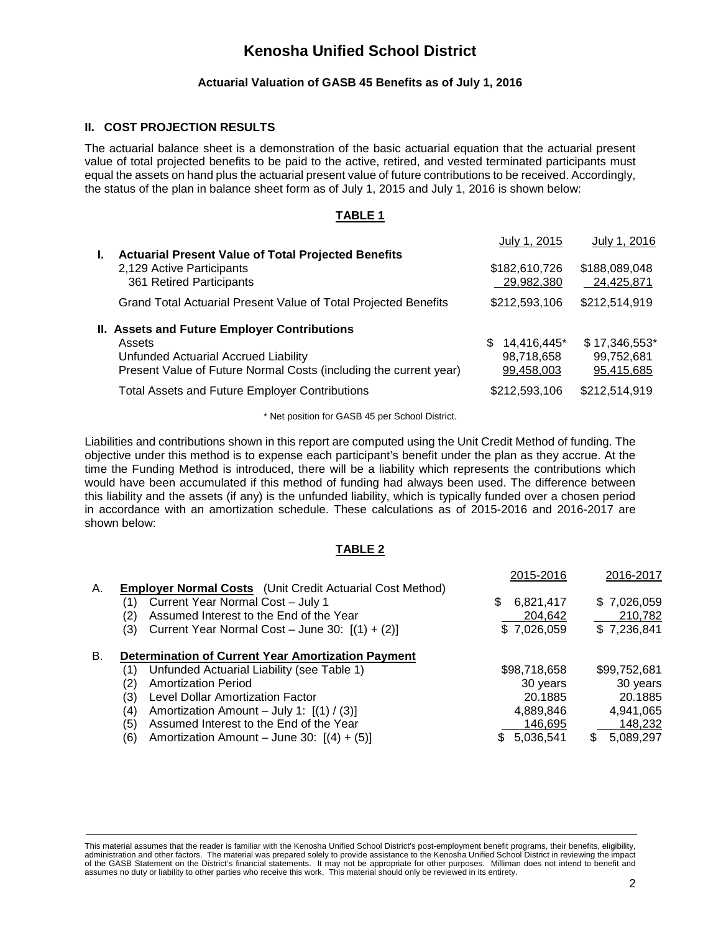## **Actuarial Valuation of GASB 45 Benefits as of July 1, 2016**

### **II. COST PROJECTION RESULTS**

The actuarial balance sheet is a demonstration of the basic actuarial equation that the actuarial present value of total projected benefits to be paid to the active, retired, and vested terminated participants must equal the assets on hand plus the actuarial present value of future contributions to be received. Accordingly, the status of the plan in balance sheet form as of July 1, 2015 and July 1, 2016 is shown below:

### **TABLE 1**

|    |                                                                   | July 1, 2015                | July 1, 2016                |
|----|-------------------------------------------------------------------|-----------------------------|-----------------------------|
| Ъ. | <b>Actuarial Present Value of Total Projected Benefits</b>        |                             |                             |
|    | 2,129 Active Participants<br>361 Retired Participants             | \$182,610,726<br>29,982,380 | \$188,089,048<br>24,425,871 |
|    | Grand Total Actuarial Present Value of Total Projected Benefits   | \$212,593,106               | \$212,514,919               |
|    | II. Assets and Future Employer Contributions                      |                             |                             |
|    | Assets                                                            | 14,416,445*<br>\$.          | \$17,346,553*               |
|    | Unfunded Actuarial Accrued Liability                              | 98,718,658                  | 99,752,681                  |
|    | Present Value of Future Normal Costs (including the current year) | 99,458,003                  | 95,415,685                  |
|    | <b>Total Assets and Future Employer Contributions</b>             | \$212,593,106               | \$212,514,919               |

\* Net position for GASB 45 per School District.

Liabilities and contributions shown in this report are computed using the Unit Credit Method of funding. The objective under this method is to expense each participant's benefit under the plan as they accrue. At the time the Funding Method is introduced, there will be a liability which represents the contributions which would have been accumulated if this method of funding had always been used. The difference between this liability and the assets (if any) is the unfunded liability, which is typically funded over a chosen period in accordance with an amortization schedule. These calculations as of 2015-2016 and 2016-2017 are shown below:

### **TABLE 2**

|    |     |                                                                  | 2015-2016       | 2016-2017    |
|----|-----|------------------------------------------------------------------|-----------------|--------------|
| А. |     | <b>Employer Normal Costs</b> (Unit Credit Actuarial Cost Method) |                 |              |
|    | (1) | Current Year Normal Cost - July 1                                | 6,821,417<br>S. | \$7,026,059  |
|    | (2) | Assumed Interest to the End of the Year                          | 204,642         | 210,782      |
|    | (3) | Current Year Normal Cost - June 30: $[(1) + (2)]$                | \$7,026,059     | \$7,236,841  |
| В. |     | <b>Determination of Current Year Amortization Payment</b>        |                 |              |
|    | (1) | Unfunded Actuarial Liability (see Table 1)                       | \$98,718,658    | \$99,752,681 |
|    | (2) | <b>Amortization Period</b>                                       | 30 years        | 30 years     |
|    | (3) | Level Dollar Amortization Factor                                 | 20.1885         | 20.1885      |
|    | (4) | Amortization Amount - July 1: $[(1) / (3)]$                      | 4,889,846       | 4,941,065    |
|    | (5) | Assumed Interest to the End of the Year                          | 146,695         | 148,232      |
|    | (6) | Amortization Amount – June 30: $[(4) + (5)]$                     | 5,036,541       | 5,089,297    |
|    |     |                                                                  |                 |              |

This material assumes that the reader is familiar with the Kenosha Unified School District's post-employment benefit programs, their benefits, eligibility, administration and other factors. The material was prepared solely to provide assistance to the Kenosha Unified School District in reviewing the impact of the GASB Statement on the District's financial statements. It may not be appropriate for other purposes. Milliman does not intend to benefit and assumes no duty or liability to other parties who receive this work. This material should only be reviewed in its entirety.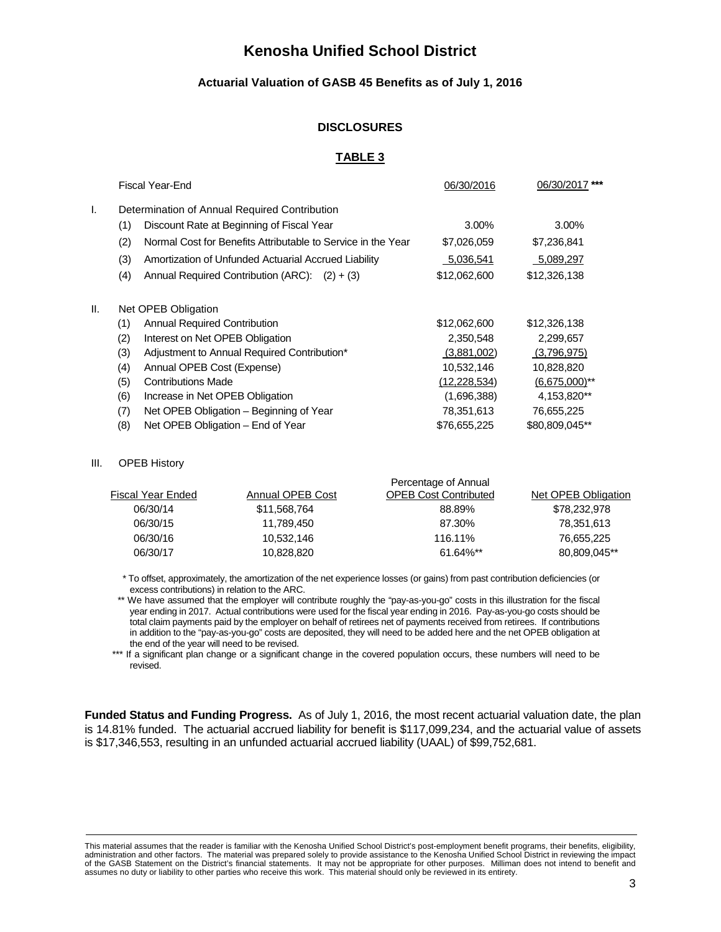### **Actuarial Valuation of GASB 45 Benefits as of July 1, 2016**

### **DISCLOSURES**

### **TABLE 3**

|     |     | Fiscal Year-End                                              | 06/30/2016     | 06/30/2017 ***   |
|-----|-----|--------------------------------------------------------------|----------------|------------------|
| I.  |     | Determination of Annual Required Contribution                |                |                  |
|     | (1) | Discount Rate at Beginning of Fiscal Year                    | 3.00%          | 3.00%            |
|     | (2) | Normal Cost for Benefits Attributable to Service in the Year | \$7,026,059    | \$7,236,841      |
|     | (3) | Amortization of Unfunded Actuarial Accrued Liability         | 5,036,541      | 5,089,297        |
|     | (4) | Annual Required Contribution (ARC): $(2) + (3)$              | \$12,062,600   | \$12,326,138     |
| II. |     | Net OPEB Obligation                                          |                |                  |
|     | (1) | Annual Required Contribution                                 | \$12,062,600   | \$12,326,138     |
|     | (2) | Interest on Net OPEB Obligation                              | 2,350,548      | 2,299,657        |
|     | (3) | Adjustment to Annual Required Contribution*                  | (3,881,002)    | (3,796,975)      |
|     | (4) | Annual OPEB Cost (Expense)                                   | 10,532,146     | 10,828,820       |
|     | (5) | <b>Contributions Made</b>                                    | (12, 228, 534) | $(6,675,000)$ ** |
|     | (6) | Increase in Net OPEB Obligation                              | (1,696,388)    | 4,153,820**      |
|     | (7) | Net OPEB Obligation - Beginning of Year                      | 78,351,613     | 76,655,225       |
|     | (8) | Net OPEB Obligation – End of Year                            | \$76,655,225   | \$80,809,045**   |
|     |     |                                                              |                |                  |

#### III. OPEB History

|                   |                  | Percentage of Annual         |                     |
|-------------------|------------------|------------------------------|---------------------|
| Fiscal Year Ended | Annual OPEB Cost | <b>OPEB Cost Contributed</b> | Net OPEB Obligation |
| 06/30/14          | \$11,568,764     | 88.89%                       | \$78,232,978        |
| 06/30/15          | 11.789.450       | 87.30%                       | 78,351,613          |
| 06/30/16          | 10.532.146       | 116.11%                      | 76.655.225          |
| 06/30/17          | 10.828.820       | $61.64\%$ **                 | 80.809.045**        |
|                   |                  |                              |                     |

 \* To offset, approximately, the amortization of the net experience losses (or gains) from past contribution deficiencies (or excess contributions) in relation to the ARC.

\*\* We have assumed that the employer will contribute roughly the "pay-as-you-go" costs in this illustration for the fiscal year ending in 2017. Actual contributions were used for the fiscal year ending in 2016. Pay-as-you-go costs should be total claim payments paid by the employer on behalf of retirees net of payments received from retirees. If contributions in addition to the "pay-as-you-go" costs are deposited, they will need to be added here and the net OPEB obligation at the end of the year will need to be revised.

\*\*\* If a significant plan change or a significant change in the covered population occurs, these numbers will need to be revised.

**Funded Status and Funding Progress.** As of July 1, 2016, the most recent actuarial valuation date, the plan is 14.81% funded. The actuarial accrued liability for benefit is \$117,099,234, and the actuarial value of assets is \$17,346,553, resulting in an unfunded actuarial accrued liability (UAAL) of \$99,752,681.

This material assumes that the reader is familiar with the Kenosha Unified School District's post-employment benefit programs, their benefits, eligibility, administration and other factors. The material was prepared solely to provide assistance to the Kenosha Unified School District in reviewing the impact<br>of the GASB Statement on the District's financial statements. It may n assumes no duty or liability to other parties who receive this work. This material should only be reviewed in its entirety.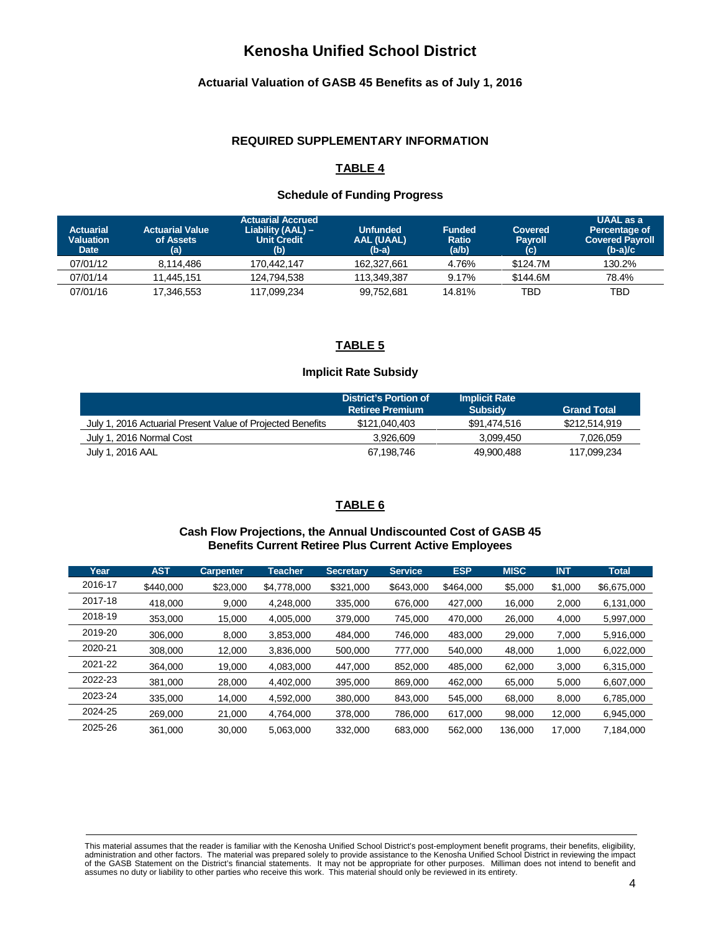# **Actuarial Valuation of GASB 45 Benefits as of July 1, 2016**

#### **REQUIRED SUPPLEMENTARY INFORMATION**

# **TABLE 4**

### **Schedule of Funding Progress**

| <b>Actuarial</b><br><b>Valuation</b><br><b>Date</b> | <b>Actuarial Value</b><br>of Assets<br>(a) | <b>Actuarial Accrued</b><br>Liability (AAL) -<br><b>Unit Credit</b><br>(b) | Unfunded<br><b>AAL (UAAL)</b><br>$(b-a)$ | <b>Funded</b><br><b>Ratio</b><br>(a/b) | Covered<br><b>Payroll</b><br>$\mathbf{(c)}$ | UAAL as a<br>Percentage of<br><b>Covered Payroll</b><br>$(b-a)/c$ |
|-----------------------------------------------------|--------------------------------------------|----------------------------------------------------------------------------|------------------------------------------|----------------------------------------|---------------------------------------------|-------------------------------------------------------------------|
| 07/01/12                                            | 8.114.486                                  | 170.442.147                                                                | 162.327.661                              | 4.76%                                  | \$124.7M                                    | 130.2%                                                            |
| 07/01/14                                            | 11.445.151                                 | 124.794.538                                                                | 113.349.387                              | 9.17%                                  | \$144.6M                                    | 78.4%                                                             |
| 07/01/16                                            | 17,346,553                                 | 117,099,234                                                                | 99,752,681                               | 14.81%                                 | TBD                                         | TBD                                                               |

# **TABLE 5**

### **Implicit Rate Subsidy**

|                                                            | District's Portion of<br><b>Retiree Premium</b> | <b>Implicit Rate</b><br><b>Subsidy</b> | <b>Grand Total</b> |
|------------------------------------------------------------|-------------------------------------------------|----------------------------------------|--------------------|
| July 1, 2016 Actuarial Present Value of Projected Benefits | \$121,040,403                                   | \$91.474.516                           | \$212,514,919      |
| July 1, 2016 Normal Cost                                   | 3.926.609                                       | 3.099.450                              | 7.026.059          |
| July 1, 2016 AAL                                           | 67,198,746                                      | 49.900.488                             | 117,099,234        |

# **TABLE 6**

# **Cash Flow Projections, the Annual Undiscounted Cost of GASB 45 Benefits Current Retiree Plus Current Active Employees**

| Year    | <b>AST</b> | <b>Carpenter</b> | <b>Teacher</b> | <b>Secretary</b> | <b>Service</b> | <b>ESP</b> | <b>MISC</b> | <b>INT</b> | <b>Total</b> |
|---------|------------|------------------|----------------|------------------|----------------|------------|-------------|------------|--------------|
| 2016-17 | \$440,000  | \$23,000         | \$4.778,000    | \$321,000        | \$643,000      | \$464,000  | \$5,000     | \$1,000    | \$6.675.000  |
| 2017-18 | 418.000    | 9,000            | 4.248.000      | 335,000          | 676,000        | 427.000    | 16.000      | 2,000      | 6,131,000    |
| 2018-19 | 353.000    | 15.000           | 4.005.000      | 379,000          | 745.000        | 470.000    | 26,000      | 4.000      | 5.997.000    |
| 2019-20 | 306.000    | 8.000            | 3.853.000      | 484.000          | 746.000        | 483.000    | 29,000      | 7,000      | 5.916.000    |
| 2020-21 | 308.000    | 12.000           | 3.836.000      | 500.000          | 777.000        | 540,000    | 48,000      | 1.000      | 6,022,000    |
| 2021-22 | 364,000    | 19,000           | 4.083.000      | 447,000          | 852.000        | 485,000    | 62,000      | 3,000      | 6.315.000    |
| 2022-23 | 381,000    | 28,000           | 4.402.000      | 395,000          | 869.000        | 462.000    | 65,000      | 5,000      | 6,607,000    |
| 2023-24 | 335.000    | 14.000           | 4.592.000      | 380,000          | 843.000        | 545.000    | 68,000      | 8.000      | 6.785.000    |
| 2024-25 | 269.000    | 21.000           | 4.764.000      | 378,000          | 786.000        | 617.000    | 98,000      | 12.000     | 6.945.000    |
| 2025-26 | 361,000    | 30,000           | 5.063.000      | 332,000          | 683.000        | 562.000    | 136.000     | 17.000     | 7.184.000    |

This material assumes that the reader is familiar with the Kenosha Unified School District's post-employment benefit programs, their benefits, eligibility,<br>administration and other factors. The material was prepared solely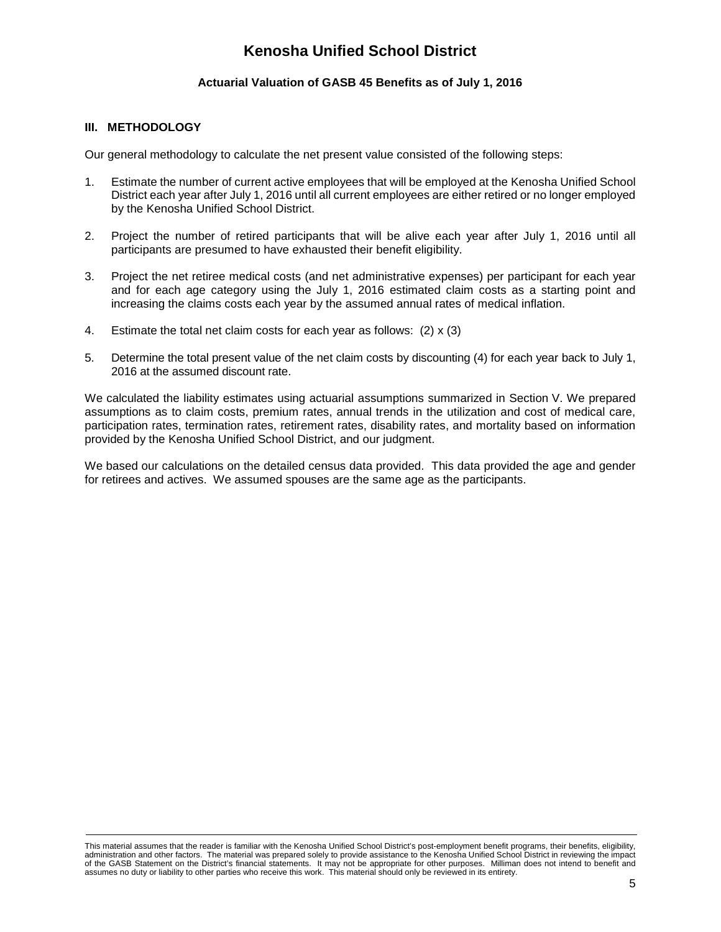# **Actuarial Valuation of GASB 45 Benefits as of July 1, 2016**

### **III. METHODOLOGY**

Our general methodology to calculate the net present value consisted of the following steps:

- 1. Estimate the number of current active employees that will be employed at the Kenosha Unified School District each year after July 1, 2016 until all current employees are either retired or no longer employed by the Kenosha Unified School District.
- 2. Project the number of retired participants that will be alive each year after July 1, 2016 until all participants are presumed to have exhausted their benefit eligibility.
- 3. Project the net retiree medical costs (and net administrative expenses) per participant for each year and for each age category using the July 1, 2016 estimated claim costs as a starting point and increasing the claims costs each year by the assumed annual rates of medical inflation.
- 4. Estimate the total net claim costs for each year as follows: (2) x (3)
- 5. Determine the total present value of the net claim costs by discounting (4) for each year back to July 1, 2016 at the assumed discount rate.

We calculated the liability estimates using actuarial assumptions summarized in Section V. We prepared assumptions as to claim costs, premium rates, annual trends in the utilization and cost of medical care, participation rates, termination rates, retirement rates, disability rates, and mortality based on information provided by the Kenosha Unified School District, and our judgment.

We based our calculations on the detailed census data provided. This data provided the age and gender for retirees and actives. We assumed spouses are the same age as the participants.

This material assumes that the reader is familiar with the Kenosha Unified School District's post-employment benefit programs, their benefits, eligibility, administration and other factors. The material was prepared solely to provide assistance to the Kenosha Unified School District in reviewing the impact of the GASB Statement on the District's financial statements. It may not be appropriate for other purposes. Milliman does not intend to benefit and assumes no duty or liability to other parties who receive this work. This material should only be reviewed in its entirety.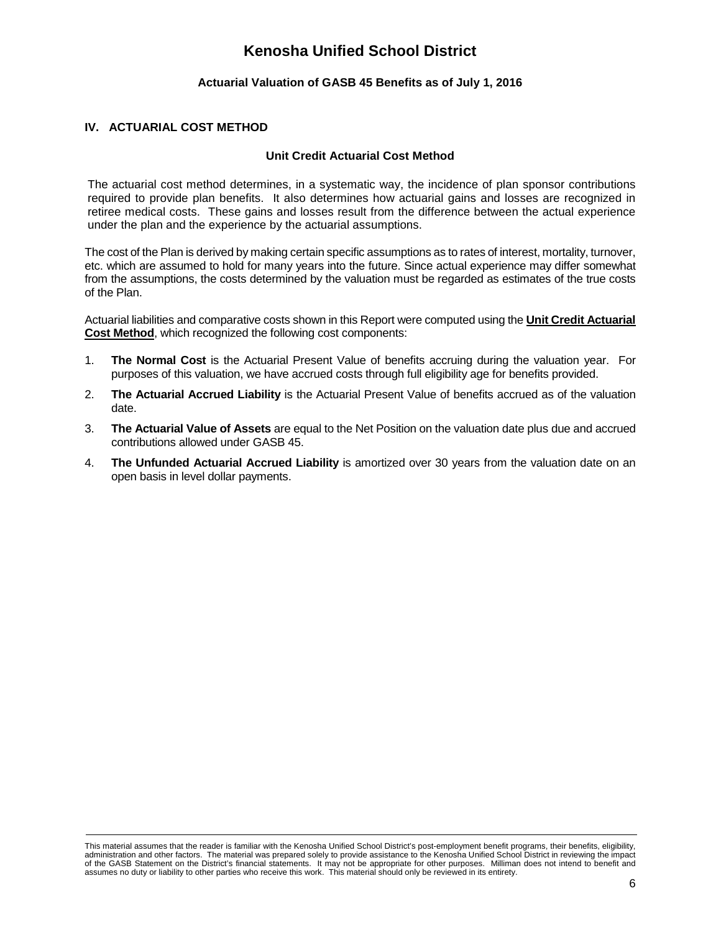# **Actuarial Valuation of GASB 45 Benefits as of July 1, 2016**

# **IV. ACTUARIAL COST METHOD**

### **Unit Credit Actuarial Cost Method**

The actuarial cost method determines, in a systematic way, the incidence of plan sponsor contributions required to provide plan benefits. It also determines how actuarial gains and losses are recognized in retiree medical costs. These gains and losses result from the difference between the actual experience under the plan and the experience by the actuarial assumptions.

The cost of the Plan is derived by making certain specific assumptions as to rates of interest, mortality, turnover, etc. which are assumed to hold for many years into the future. Since actual experience may differ somewhat from the assumptions, the costs determined by the valuation must be regarded as estimates of the true costs of the Plan.

Actuarial liabilities and comparative costs shown in this Report were computed using the **Unit Credit Actuarial Cost Method**, which recognized the following cost components:

- 1. **The Normal Cost** is the Actuarial Present Value of benefits accruing during the valuation year. For purposes of this valuation, we have accrued costs through full eligibility age for benefits provided.
- 2. **The Actuarial Accrued Liability** is the Actuarial Present Value of benefits accrued as of the valuation date.
- 3. **The Actuarial Value of Assets** are equal to the Net Position on the valuation date plus due and accrued contributions allowed under GASB 45.
- 4. **The Unfunded Actuarial Accrued Liability** is amortized over 30 years from the valuation date on an open basis in level dollar payments.

This material assumes that the reader is familiar with the Kenosha Unified School District's post-employment benefit programs, their benefits, eligibility, administration and other factors. The material was prepared solely to provide assistance to the Kenosha Unified School District in reviewing the impact of the GASB Statement on the District's financial statements. It may not be appropriate for other purposes. Milliman does not intend to benefit and assumes no duty or liability to other parties who receive this work. This material should only be reviewed in its entirety.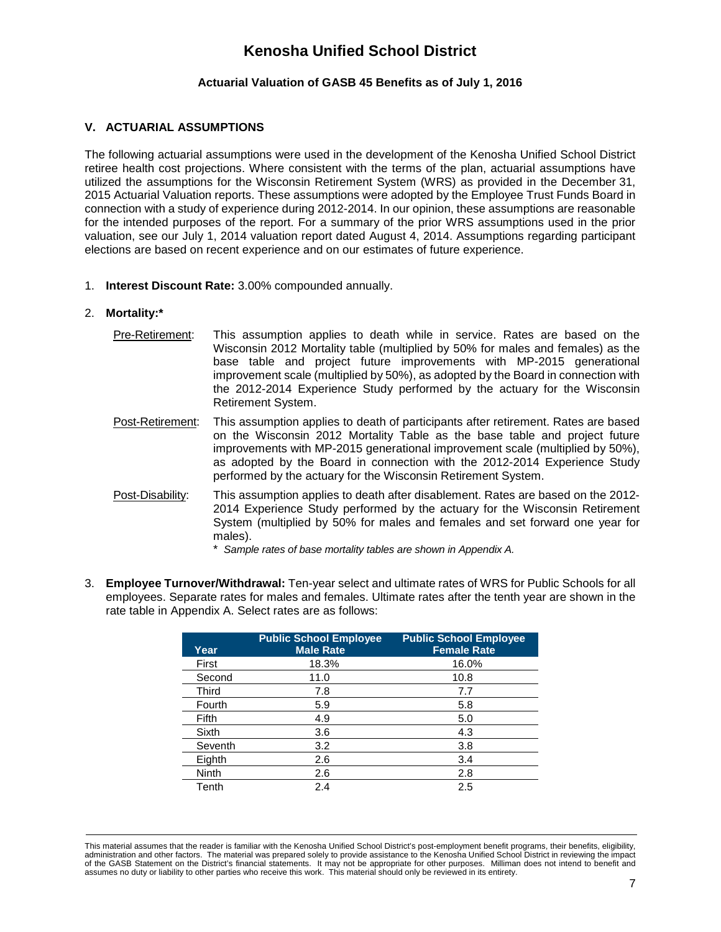# **Actuarial Valuation of GASB 45 Benefits as of July 1, 2016**

### **V. ACTUARIAL ASSUMPTIONS**

The following actuarial assumptions were used in the development of the Kenosha Unified School District retiree health cost projections. Where consistent with the terms of the plan, actuarial assumptions have utilized the assumptions for the Wisconsin Retirement System (WRS) as provided in the December 31, 2015 Actuarial Valuation reports. These assumptions were adopted by the Employee Trust Funds Board in connection with a study of experience during 2012-2014. In our opinion, these assumptions are reasonable for the intended purposes of the report. For a summary of the prior WRS assumptions used in the prior valuation, see our July 1, 2014 valuation report dated August 4, 2014. Assumptions regarding participant elections are based on recent experience and on our estimates of future experience.

1. **Interest Discount Rate:** 3.00% compounded annually.

#### 2. **Mortality:\***

- Pre-Retirement: This assumption applies to death while in service. Rates are based on the Wisconsin 2012 Mortality table (multiplied by 50% for males and females) as the base table and project future improvements with MP-2015 generational improvement scale (multiplied by 50%), as adopted by the Board in connection with the 2012-2014 Experience Study performed by the actuary for the Wisconsin Retirement System.
- Post-Retirement: This assumption applies to death of participants after retirement. Rates are based on the Wisconsin 2012 Mortality Table as the base table and project future improvements with MP-2015 generational improvement scale (multiplied by 50%), as adopted by the Board in connection with the 2012-2014 Experience Study performed by the actuary for the Wisconsin Retirement System.
- Post-Disability: This assumption applies to death after disablement. Rates are based on the 2012- 2014 Experience Study performed by the actuary for the Wisconsin Retirement System (multiplied by 50% for males and females and set forward one year for males).

\* *Sample rates of base mortality tables are shown in Appendix A.*

3. **Employee Turnover/Withdrawal:** Ten-year select and ultimate rates of WRS for Public Schools for all employees. Separate rates for males and females. Ultimate rates after the tenth year are shown in the rate table in Appendix A. Select rates are as follows:

| Year    | <b>Public School Employee</b><br><b>Male Rate</b> | <b>Public School Employee</b><br><b>Female Rate</b> |
|---------|---------------------------------------------------|-----------------------------------------------------|
| First   | 18.3%                                             | 16.0%                                               |
| Second  | 11.0                                              | 10.8                                                |
| Third   | 7.8                                               | 7.7                                                 |
| Fourth  | 5.9                                               | 5.8                                                 |
| Fifth   | 4.9                                               | 5.0                                                 |
| Sixth   | 3.6                                               | 4.3                                                 |
| Seventh | 3.2                                               | 3.8                                                 |
| Eighth  | 2.6                                               | 3.4                                                 |
| Ninth   | 2.6                                               | 2.8                                                 |
| Tenth   | 2.4                                               | 2.5                                                 |

This material assumes that the reader is familiar with the Kenosha Unified School District's post-employment benefit programs, their benefits, eligibility, administration and other factors. The material was prepared solely to provide assistance to the Kenosha Unified School District in reviewing the impact of the GASB Statement on the District's financial statements. It may not be appropriate for other purposes. Milliman does not intend to benefit and assumes no duty or liability to other parties who receive this work. This material should only be reviewed in its entirety.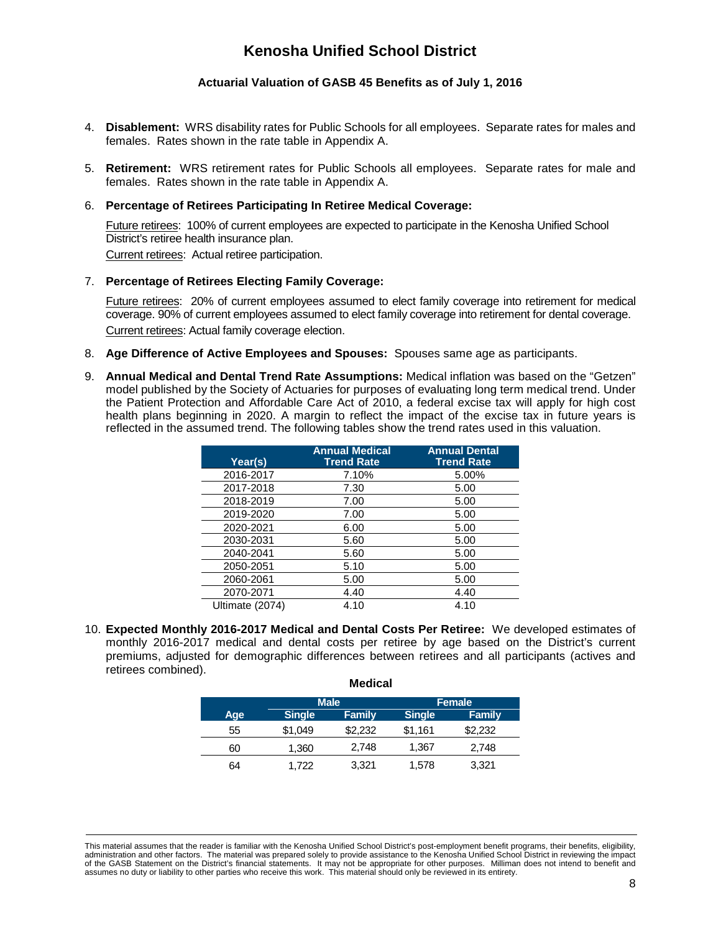## **Actuarial Valuation of GASB 45 Benefits as of July 1, 2016**

- 4. **Disablement:** WRS disability rates for Public Schools for all employees. Separate rates for males and females. Rates shown in the rate table in Appendix A.
- 5. **Retirement:** WRS retirement rates for Public Schools all employees. Separate rates for male and females. Rates shown in the rate table in Appendix A.

#### 6. **Percentage of Retirees Participating In Retiree Medical Coverage:**

Future retirees: 100% of current employees are expected to participate in the Kenosha Unified School District's retiree health insurance plan. Current retirees: Actual retiree participation.

### 7. **Percentage of Retirees Electing Family Coverage:**

Future retirees: 20% of current employees assumed to elect family coverage into retirement for medical coverage. 90% of current employees assumed to elect family coverage into retirement for dental coverage. Current retirees: Actual family coverage election.

- 8. **Age Difference of Active Employees and Spouses:** Spouses same age as participants.
- 9. **Annual Medical and Dental Trend Rate Assumptions:** Medical inflation was based on the "Getzen" model published by the Society of Actuaries for purposes of evaluating long term medical trend. Under the Patient Protection and Affordable Care Act of 2010, a federal excise tax will apply for high cost health plans beginning in 2020. A margin to reflect the impact of the excise tax in future years is reflected in the assumed trend. The following tables show the trend rates used in this valuation.

| Year(s)         | <b>Annual Medical</b><br><b>Trend Rate</b> | <b>Annual Dental</b><br><b>Trend Rate</b> |
|-----------------|--------------------------------------------|-------------------------------------------|
| 2016-2017       | 7.10%                                      | 5.00%                                     |
| 2017-2018       | 7.30                                       | 5.00                                      |
| 2018-2019       | 7.00                                       | 5.00                                      |
| 2019-2020       | 7.00                                       | 5.00                                      |
| 2020-2021       | 6.00                                       | 5.00                                      |
| 2030-2031       | 5.60                                       | 5.00                                      |
| 2040-2041       | 5.60                                       | 5.00                                      |
| 2050-2051       | 5.10                                       | 5.00                                      |
| 2060-2061       | 5.00                                       | 5.00                                      |
| 2070-2071       | 4.40                                       | 4.40                                      |
| Ultimate (2074) | 4.10                                       | 4.10                                      |

10. **Expected Monthly 2016-2017 Medical and Dental Costs Per Retiree:** We developed estimates of monthly 2016-2017 medical and dental costs per retiree by age based on the District's current premiums, adjusted for demographic differences between retirees and all participants (actives and retirees combined).

**Medical**

|     |               | <b>Male</b>   |               | Female        |
|-----|---------------|---------------|---------------|---------------|
| Age | <b>Single</b> | <b>Family</b> | <b>Single</b> | <b>Family</b> |
| 55  | \$1,049       | \$2,232       | \$1,161       | \$2,232       |
| 60  | 1,360         | 2,748         | 1,367         | 2,748         |
| 64  | 1,722         | 3,321         | 1,578         | 3,321         |

This material assumes that the reader is familiar with the Kenosha Unified School District's post-employment benefit programs, their benefits, eligibility, administration and other factors. The material was prepared solely to provide assistance to the Kenosha Unified School District in reviewing the impact of the GASB Statement on the District's financial statements. It may not be appropriate for other purposes. Milliman does not intend to benefit and assumes no duty or liability to other parties who receive this work. This material should only be reviewed in its entirety.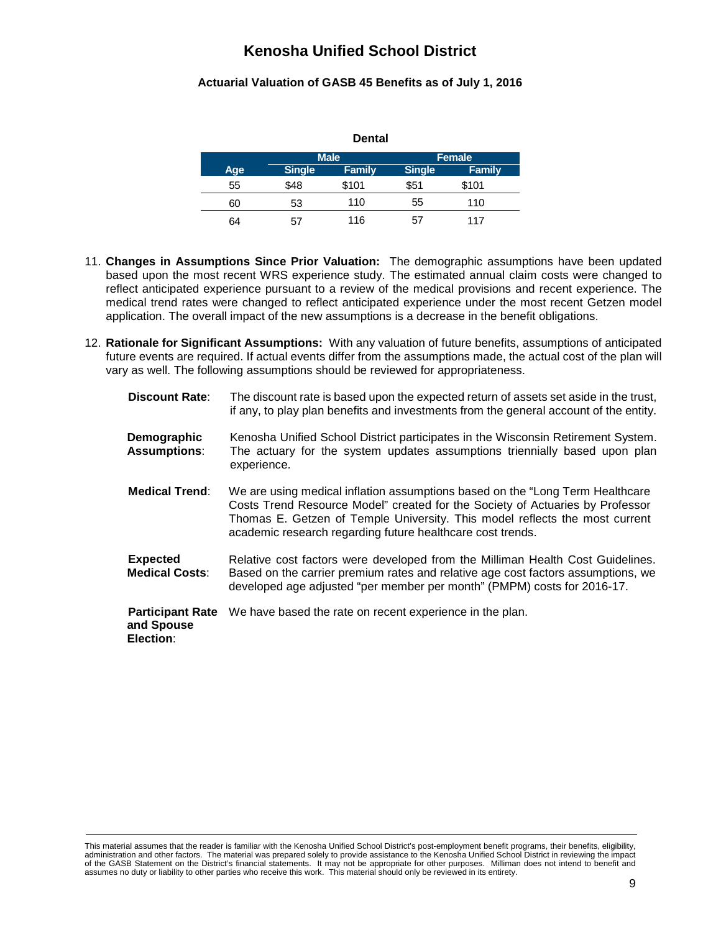# **Actuarial Valuation of GASB 45 Benefits as of July 1, 2016**

| <b>Dental</b> |               |               |               |               |  |  |  |  |
|---------------|---------------|---------------|---------------|---------------|--|--|--|--|
|               |               | <b>Male</b>   |               | <b>Female</b> |  |  |  |  |
| Age           | <b>Single</b> | <b>Family</b> | <b>Single</b> | <b>Family</b> |  |  |  |  |
| 55            | \$48          | \$101         | \$51          | \$101         |  |  |  |  |
| 60            | 53            | 110           | 55            | 110           |  |  |  |  |
| 64            | 57            | 116           | 57            | 117           |  |  |  |  |

- 11. **Changes in Assumptions Since Prior Valuation:** The demographic assumptions have been updated based upon the most recent WRS experience study. The estimated annual claim costs were changed to reflect anticipated experience pursuant to a review of the medical provisions and recent experience. The medical trend rates were changed to reflect anticipated experience under the most recent Getzen model application. The overall impact of the new assumptions is a decrease in the benefit obligations.
- 12. **Rationale for Significant Assumptions:** With any valuation of future benefits, assumptions of anticipated future events are required. If actual events differ from the assumptions made, the actual cost of the plan will vary as well. The following assumptions should be reviewed for appropriateness.

| <b>Discount Rate:</b>                              | The discount rate is based upon the expected return of assets set aside in the trust,<br>if any, to play plan benefits and investments from the general account of the entity.                                                                                                                               |
|----------------------------------------------------|--------------------------------------------------------------------------------------------------------------------------------------------------------------------------------------------------------------------------------------------------------------------------------------------------------------|
| Demographic<br><b>Assumptions:</b>                 | Kenosha Unified School District participates in the Wisconsin Retirement System.<br>The actuary for the system updates assumptions triennially based upon plan<br>experience.                                                                                                                                |
| <b>Medical Trend:</b>                              | We are using medical inflation assumptions based on the "Long Term Healthcare"<br>Costs Trend Resource Model" created for the Society of Actuaries by Professor<br>Thomas E. Getzen of Temple University. This model reflects the most current<br>academic research regarding future healthcare cost trends. |
| <b>Expected</b><br><b>Medical Costs:</b>           | Relative cost factors were developed from the Milliman Health Cost Guidelines.<br>Based on the carrier premium rates and relative age cost factors assumptions, we<br>developed age adjusted "per member per month" (PMPM) costs for 2016-17.                                                                |
| <b>Participant Rate</b><br>and Spouse<br>Election: | We have based the rate on recent experience in the plan.                                                                                                                                                                                                                                                     |

This material assumes that the reader is familiar with the Kenosha Unified School District's post-employment benefit programs, their benefits, eligibility,<br>administration and other factors. The material was prepared solel of the GASB Statement on the District's financial statements. It may not be appropriate for other purposes. Milliman does not intend to benefit and assumes no duty or liability to other parties who receive this work. This material should only be reviewed in its entirety.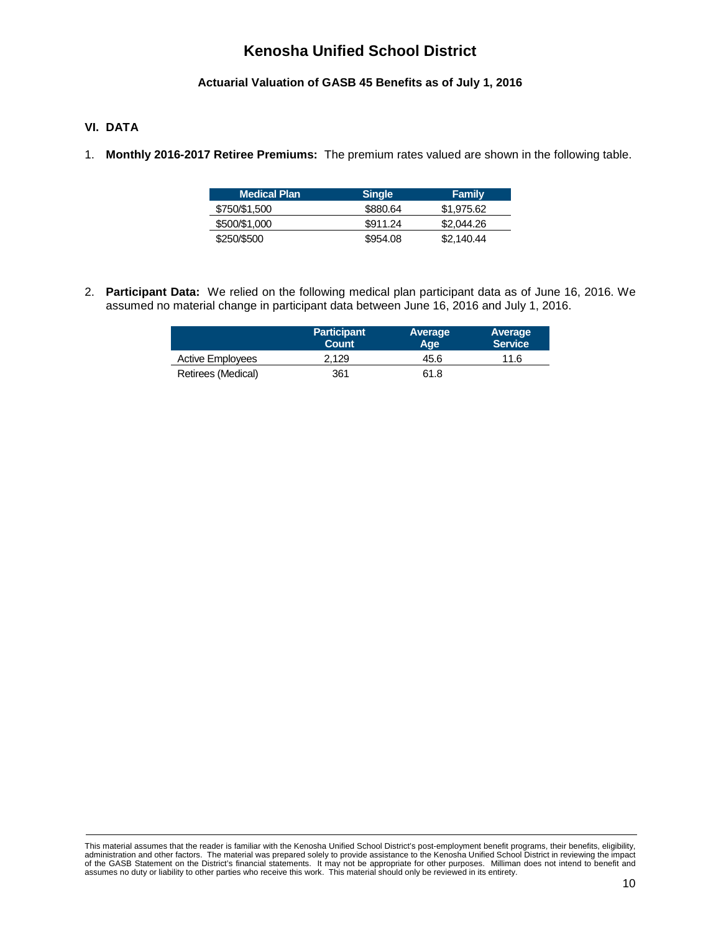# **Actuarial Valuation of GASB 45 Benefits as of July 1, 2016**

# **VI. DATA**

1. **Monthly 2016-2017 Retiree Premiums:** The premium rates valued are shown in the following table.

| <b>Medical Plan</b> | <b>Single</b> | <b>Family</b> |
|---------------------|---------------|---------------|
| \$750/\$1,500       | \$880.64      | \$1,975.62    |
| \$500/\$1,000       | \$911.24      | \$2,044.26    |
| \$250/\$500         | \$954.08      | \$2,140.44    |

2. **Participant Data:** We relied on the following medical plan participant data as of June 16, 2016. We assumed no material change in participant data between June 16, 2016 and July 1, 2016.

|                         | <b>Participant</b><br><b>Count</b> | Average<br>Aqe. | Average<br>Service <sup>1</sup> |
|-------------------------|------------------------------------|-----------------|---------------------------------|
| <b>Active Employees</b> | 2.129                              | 45.6            | 11.6                            |
| Retirees (Medical)      | 361                                | 61.8            |                                 |

This material assumes that the reader is familiar with the Kenosha Unified School District's post-employment benefit programs, their benefits, eligibility,<br>administration and other factors. The material was prepared solely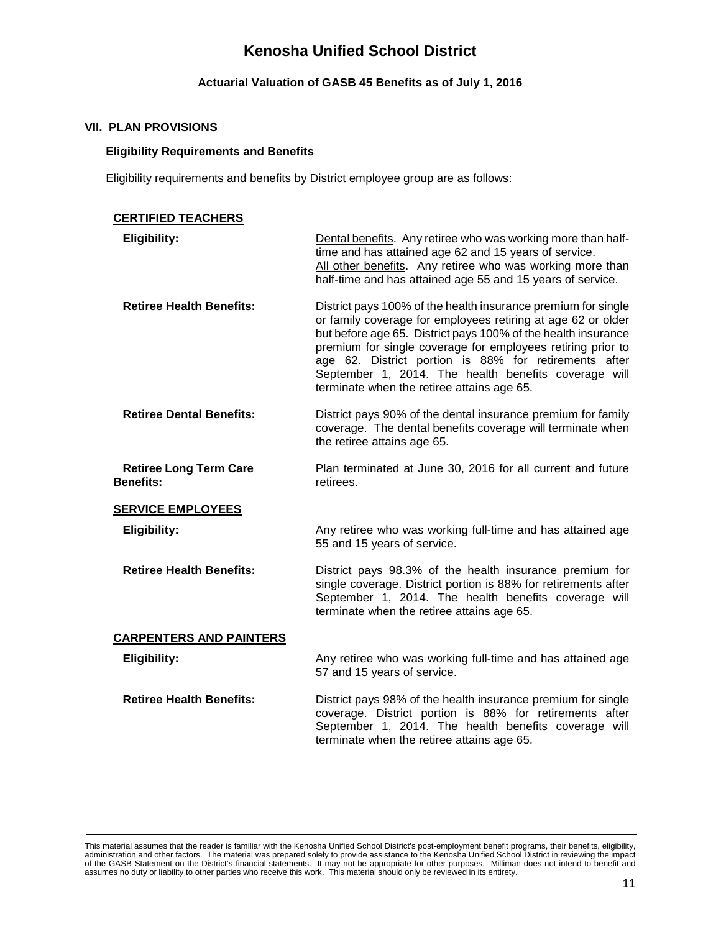# **Actuarial Valuation of GASB 45 Benefits as of July 1, 2016**

### **VII. PLAN PROVISIONS**

## **Eligibility Requirements and Benefits**

Eligibility requirements and benefits by District employee group are as follows:

| <b>CERTIFIED TEACHERS</b>                         |                                                                                                                                                                                                                                                                                                                                                                                                                              |
|---------------------------------------------------|------------------------------------------------------------------------------------------------------------------------------------------------------------------------------------------------------------------------------------------------------------------------------------------------------------------------------------------------------------------------------------------------------------------------------|
| Eligibility:                                      | Dental benefits. Any retiree who was working more than half-<br>time and has attained age 62 and 15 years of service.<br>All other benefits. Any retiree who was working more than<br>half-time and has attained age 55 and 15 years of service.                                                                                                                                                                             |
| <b>Retiree Health Benefits:</b>                   | District pays 100% of the health insurance premium for single<br>or family coverage for employees retiring at age 62 or older<br>but before age 65. District pays 100% of the health insurance<br>premium for single coverage for employees retiring prior to<br>age 62. District portion is 88% for retirements after<br>September 1, 2014. The health benefits coverage will<br>terminate when the retiree attains age 65. |
| <b>Retiree Dental Benefits:</b>                   | District pays 90% of the dental insurance premium for family<br>coverage. The dental benefits coverage will terminate when<br>the retiree attains age 65.                                                                                                                                                                                                                                                                    |
| <b>Retiree Long Term Care</b><br><b>Benefits:</b> | Plan terminated at June 30, 2016 for all current and future<br>retirees.                                                                                                                                                                                                                                                                                                                                                     |
| <b>SERVICE EMPLOYEES</b>                          |                                                                                                                                                                                                                                                                                                                                                                                                                              |
| <b>Eligibility:</b>                               | Any retiree who was working full-time and has attained age<br>55 and 15 years of service.                                                                                                                                                                                                                                                                                                                                    |
| <b>Retiree Health Benefits:</b>                   | District pays 98.3% of the health insurance premium for<br>single coverage. District portion is 88% for retirements after<br>September 1, 2014. The health benefits coverage will<br>terminate when the retiree attains age 65.                                                                                                                                                                                              |
| <b>CARPENTERS AND PAINTERS</b>                    |                                                                                                                                                                                                                                                                                                                                                                                                                              |
| <b>Eligibility:</b>                               | Any retiree who was working full-time and has attained age<br>57 and 15 years of service.                                                                                                                                                                                                                                                                                                                                    |
| <b>Retiree Health Benefits:</b>                   | District pays 98% of the health insurance premium for single<br>coverage. District portion is 88% for retirements after<br>September 1, 2014. The health benefits coverage will<br>terminate when the retiree attains age 65.                                                                                                                                                                                                |

This material assumes that the reader is familiar with the Kenosha Unified School District's post-employment benefit programs, their benefits, eligibility,<br>administration and other factors. The material was prepared solely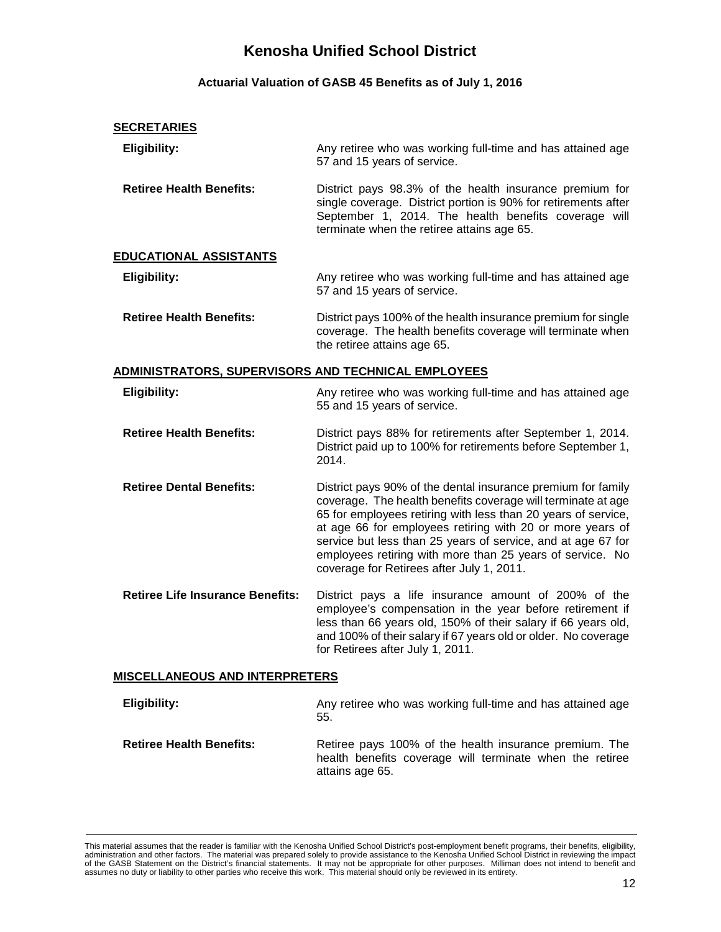# **Actuarial Valuation of GASB 45 Benefits as of July 1, 2016**

### **SECRETARIES**

| <b>Eligibility:</b>                                        | Any retiree who was working full-time and has attained age<br>57 and 15 years of service.                                                                                                                                                                                                                                                                                                                                            |
|------------------------------------------------------------|--------------------------------------------------------------------------------------------------------------------------------------------------------------------------------------------------------------------------------------------------------------------------------------------------------------------------------------------------------------------------------------------------------------------------------------|
| <b>Retiree Health Benefits:</b>                            | District pays 98.3% of the health insurance premium for<br>single coverage. District portion is 90% for retirements after<br>September 1, 2014. The health benefits coverage will<br>terminate when the retiree attains age 65.                                                                                                                                                                                                      |
| EDUCATIONAL ASSISTANTS                                     |                                                                                                                                                                                                                                                                                                                                                                                                                                      |
| <b>Eligibility:</b>                                        | Any retiree who was working full-time and has attained age<br>57 and 15 years of service.                                                                                                                                                                                                                                                                                                                                            |
| <b>Retiree Health Benefits:</b>                            | District pays 100% of the health insurance premium for single<br>coverage. The health benefits coverage will terminate when<br>the retiree attains age 65.                                                                                                                                                                                                                                                                           |
| <u>ADMINISTRATORS, SUPERVISORS AND TECHNICAL EMPLOYEES</u> |                                                                                                                                                                                                                                                                                                                                                                                                                                      |
| <b>Eligibility:</b>                                        | Any retiree who was working full-time and has attained age<br>55 and 15 years of service.                                                                                                                                                                                                                                                                                                                                            |
| <b>Retiree Health Benefits:</b>                            | District pays 88% for retirements after September 1, 2014.<br>District paid up to 100% for retirements before September 1,<br>2014.                                                                                                                                                                                                                                                                                                  |
| <b>Retiree Dental Benefits:</b>                            | District pays 90% of the dental insurance premium for family<br>coverage. The health benefits coverage will terminate at age<br>65 for employees retiring with less than 20 years of service,<br>at age 66 for employees retiring with 20 or more years of<br>service but less than 25 years of service, and at age 67 for<br>employees retiring with more than 25 years of service. No<br>coverage for Retirees after July 1, 2011. |
| <b>Retiree Life Insurance Benefits:</b>                    | District pays a life insurance amount of 200% of the<br>employee's compensation in the year before retirement if<br>less than 66 years old, 150% of their salary if 66 years old,<br>and 100% of their salary if 67 years old or older. No coverage<br>for Retirees after July 1, 2011.                                                                                                                                              |
| <b>MISCELLANEOUS AND INTERPRETERS</b>                      |                                                                                                                                                                                                                                                                                                                                                                                                                                      |
| <b>Eligibility:</b>                                        | Any retiree who was working full-time and has attained age<br>55.                                                                                                                                                                                                                                                                                                                                                                    |

**Retiree Health Benefits:** Retiree pays 100% of the health insurance premium. The health benefits coverage will terminate when the retiree attains age 65.

This material assumes that the reader is familiar with the Kenosha Unified School District's post-employment benefit programs, their benefits, eligibility,<br>administration and other factors. The material was prepared solely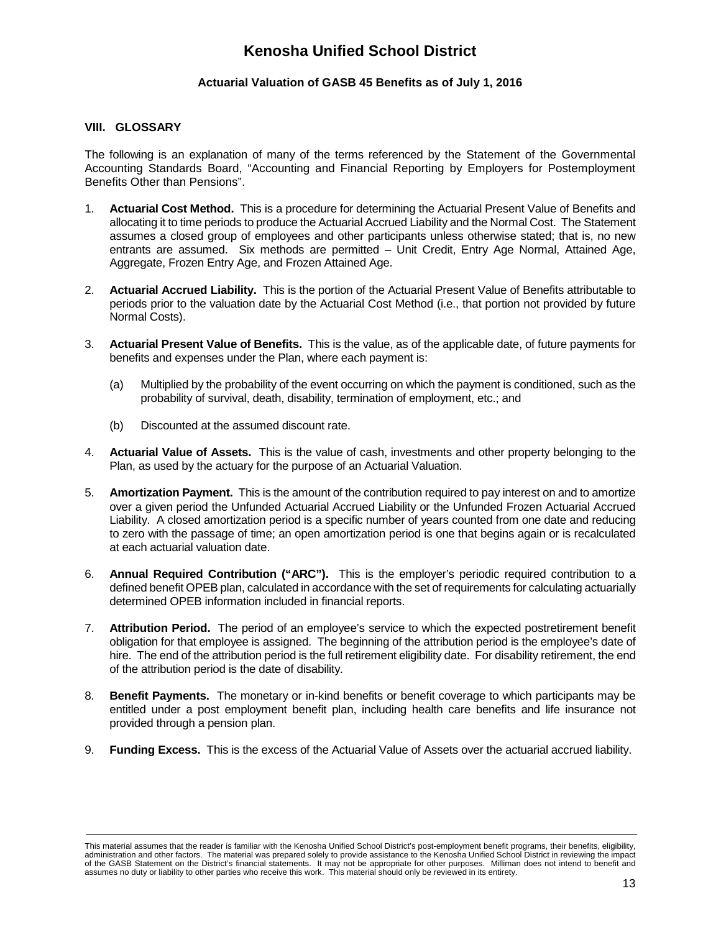# **Actuarial Valuation of GASB 45 Benefits as of July 1, 2016**

### **VIII. GLOSSARY**

The following is an explanation of many of the terms referenced by the Statement of the Governmental Accounting Standards Board, "Accounting and Financial Reporting by Employers for Postemployment Benefits Other than Pensions".

- 1. **Actuarial Cost Method.** This is a procedure for determining the Actuarial Present Value of Benefits and allocating it to time periods to produce the Actuarial Accrued Liability and the Normal Cost. The Statement assumes a closed group of employees and other participants unless otherwise stated; that is, no new entrants are assumed. Six methods are permitted – Unit Credit, Entry Age Normal, Attained Age, Aggregate, Frozen Entry Age, and Frozen Attained Age.
- 2. **Actuarial Accrued Liability.** This is the portion of the Actuarial Present Value of Benefits attributable to periods prior to the valuation date by the Actuarial Cost Method (i.e., that portion not provided by future Normal Costs).
- 3. **Actuarial Present Value of Benefits.** This is the value, as of the applicable date, of future payments for benefits and expenses under the Plan, where each payment is:
	- (a) Multiplied by the probability of the event occurring on which the payment is conditioned, such as the probability of survival, death, disability, termination of employment, etc.; and
	- (b) Discounted at the assumed discount rate.
- 4. **Actuarial Value of Assets.** This is the value of cash, investments and other property belonging to the Plan, as used by the actuary for the purpose of an Actuarial Valuation.
- 5. **Amortization Payment.** This is the amount of the contribution required to pay interest on and to amortize over a given period the Unfunded Actuarial Accrued Liability or the Unfunded Frozen Actuarial Accrued Liability. A closed amortization period is a specific number of years counted from one date and reducing to zero with the passage of time; an open amortization period is one that begins again or is recalculated at each actuarial valuation date.
- 6. **Annual Required Contribution ("ARC").** This is the employer's periodic required contribution to a defined benefit OPEB plan, calculated in accordance with the set of requirements for calculating actuarially determined OPEB information included in financial reports.
- 7. **Attribution Period.** The period of an employee's service to which the expected postretirement benefit obligation for that employee is assigned. The beginning of the attribution period is the employee's date of hire. The end of the attribution period is the full retirement eligibility date. For disability retirement, the end of the attribution period is the date of disability.
- 8. **Benefit Payments.** The monetary or in-kind benefits or benefit coverage to which participants may be entitled under a post employment benefit plan, including health care benefits and life insurance not provided through a pension plan.
- 9. **Funding Excess.** This is the excess of the Actuarial Value of Assets over the actuarial accrued liability.

This material assumes that the reader is familiar with the Kenosha Unified School District's post-employment benefit programs, their benefits, eligibility, administration and other factors. The material was prepared solely to provide assistance to the Kenosha Unified School District in reviewing the impact of the GASB Statement on the District's financial statements. It may not be appropriate for other purposes. Milliman does not intend to benefit and assumes no duty or liability to other parties who receive this work. This material should only be reviewed in its entirety.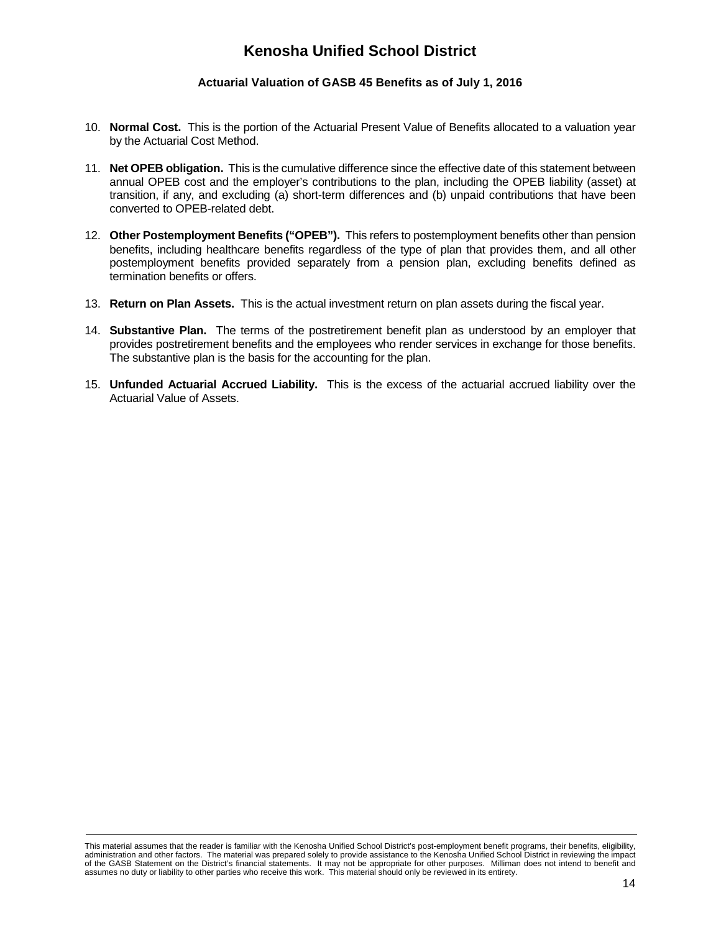## **Actuarial Valuation of GASB 45 Benefits as of July 1, 2016**

- 10. **Normal Cost.** This is the portion of the Actuarial Present Value of Benefits allocated to a valuation year by the Actuarial Cost Method.
- 11. **Net OPEB obligation.** This is the cumulative difference since the effective date of this statement between annual OPEB cost and the employer's contributions to the plan, including the OPEB liability (asset) at transition, if any, and excluding (a) short-term differences and (b) unpaid contributions that have been converted to OPEB-related debt.
- 12. **Other Postemployment Benefits ("OPEB").** This refers to postemployment benefits other than pension benefits, including healthcare benefits regardless of the type of plan that provides them, and all other postemployment benefits provided separately from a pension plan, excluding benefits defined as termination benefits or offers.
- 13. **Return on Plan Assets.** This is the actual investment return on plan assets during the fiscal year.
- 14. **Substantive Plan.** The terms of the postretirement benefit plan as understood by an employer that provides postretirement benefits and the employees who render services in exchange for those benefits. The substantive plan is the basis for the accounting for the plan.
- 15. **Unfunded Actuarial Accrued Liability.** This is the excess of the actuarial accrued liability over the Actuarial Value of Assets.

This material assumes that the reader is familiar with the Kenosha Unified School District's post-employment benefit programs, their benefits, eligibility, administration and other factors. The material was prepared solely to provide assistance to the Kenosha Unified School District in reviewing the impact of the GASB Statement on the District's financial statements. It may not be appropriate for other purposes. Milliman does not intend to benefit and assumes no duty or liability to other parties who receive this work. This material should only be reviewed in its entirety.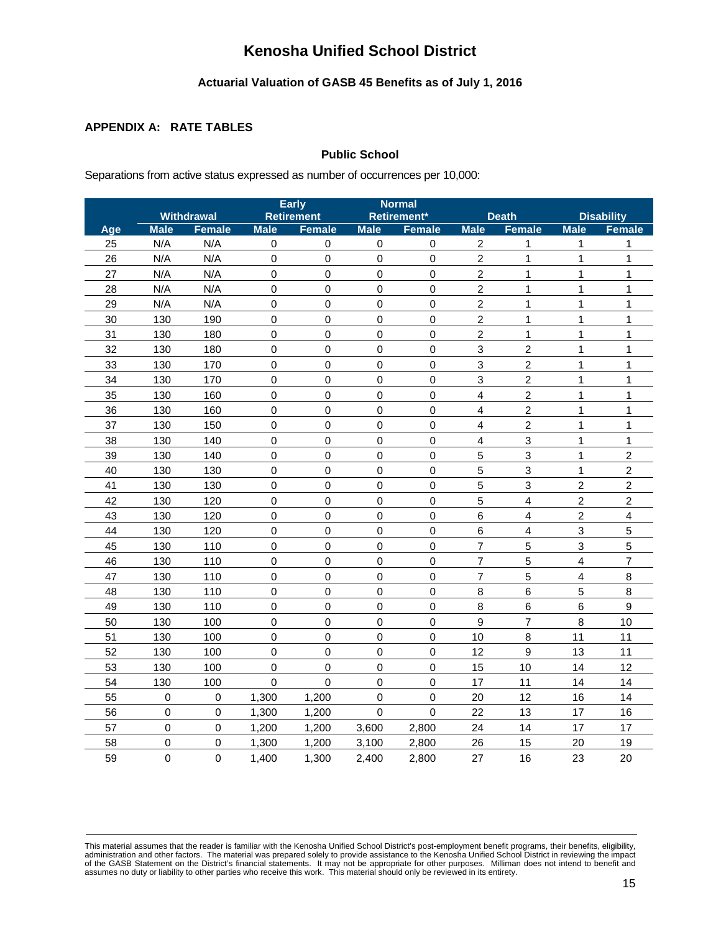# **Actuarial Valuation of GASB 45 Benefits as of July 1, 2016**

### **APPENDIX A: RATE TABLES**

# **Public School**

Separations from active status expressed as number of occurrences per 10,000:

|     |             |                   |             | <b>Early</b>      | <b>Normal</b> |               |                  |                  |                         |                         |
|-----|-------------|-------------------|-------------|-------------------|---------------|---------------|------------------|------------------|-------------------------|-------------------------|
|     |             | <b>Withdrawal</b> |             | <b>Retirement</b> |               | Retirement*   |                  | <b>Death</b>     |                         | <b>Disability</b>       |
| Age | <b>Male</b> | <b>Female</b>     | <b>Male</b> | <b>Female</b>     | <b>Male</b>   | <b>Female</b> | <b>Male</b>      | <b>Female</b>    | <b>Male</b>             | <b>Female</b>           |
| 25  | N/A         | N/A               | $\mathbf 0$ | $\mathbf 0$       | $\pmb{0}$     | $\pmb{0}$     | $\overline{c}$   | 1                | 1                       | 1                       |
| 26  | N/A         | N/A               | $\mathbf 0$ | $\mathbf 0$       | $\mathbf 0$   | $\mathbf 0$   | $\overline{a}$   | 1                | $\mathbf 1$             | 1                       |
| 27  | N/A         | N/A               | $\mathbf 0$ | $\mathbf 0$       | $\mathbf 0$   | $\mathbf 0$   | $\overline{a}$   | 1                | 1                       | 1                       |
| 28  | N/A         | N/A               | $\mathbf 0$ | $\mathbf 0$       | $\mathbf 0$   | $\mathbf 0$   | $\overline{2}$   | 1                | 1                       | 1                       |
| 29  | N/A         | N/A               | $\mathbf 0$ | $\pmb{0}$         | $\mathbf 0$   | $\mathbf 0$   | $\overline{c}$   | 1                | $\mathbf{1}$            | 1                       |
| 30  | 130         | 190               | $\mathbf 0$ | $\pmb{0}$         | $\mathbf 0$   | $\mathbf 0$   | $\overline{c}$   | 1                | $\mathbf 1$             | 1                       |
| 31  | 130         | 180               | $\mathbf 0$ | $\mathbf 0$       | $\mathbf 0$   | $\mathbf 0$   | $\overline{2}$   | 1                | 1                       | 1                       |
| 32  | 130         | 180               | $\mathbf 0$ | $\pmb{0}$         | $\mathbf 0$   | $\mathbf 0$   | 3                | $\overline{c}$   | $\mathbf 1$             | 1                       |
| 33  | 130         | 170               | $\mathbf 0$ | $\mathbf 0$       | $\Omega$      | $\mathbf 0$   | 3                | $\boldsymbol{2}$ | $\mathbf 1$             | 1                       |
| 34  | 130         | 170               | $\mathbf 0$ | $\mathbf 0$       | $\mathbf 0$   | $\mathbf 0$   | 3                | $\overline{c}$   | 1                       | 1                       |
| 35  | 130         | 160               | $\mathbf 0$ | $\pmb{0}$         | $\mathbf 0$   | $\mathbf 0$   | $\overline{4}$   | $\overline{2}$   | $\mathbf 1$             | 1                       |
| 36  | 130         | 160               | $\mathbf 0$ | $\mathbf 0$       | $\mathbf 0$   | $\mathbf 0$   | 4                | $\overline{2}$   | $\mathbf{1}$            | 1                       |
| 37  | 130         | 150               | $\mathbf 0$ | $\mathbf 0$       | $\mathbf 0$   | $\mathbf 0$   | $\overline{4}$   | $\overline{2}$   | $\mathbf{1}$            | $\mathbf{1}$            |
| 38  | 130         | 140               | $\mathbf 0$ | $\pmb{0}$         | $\Omega$      | $\mathbf 0$   | 4                | $\mathbf{3}$     | $\mathbf 1$             | 1                       |
| 39  | 130         | 140               | $\mathbf 0$ | $\pmb{0}$         | $\mathbf 0$   | $\mathbf 0$   | 5                | 3                | 1                       | $\overline{c}$          |
| 40  | 130         | 130               | $\mathbf 0$ | $\mathbf 0$       | $\mathbf 0$   | $\mathbf 0$   | 5                | 3                | $\mathbf{1}$            | $\overline{c}$          |
| 41  | 130         | 130               | $\mathbf 0$ | $\mathbf 0$       | $\mathbf 0$   | $\mathbf 0$   | 5                | 3                | $\overline{a}$          | $\overline{c}$          |
| 42  | 130         | 120               | $\mathbf 0$ | $\mathbf 0$       | $\mathbf 0$   | $\mathbf 0$   | 5                | $\overline{4}$   | $\overline{a}$          | $\overline{c}$          |
| 43  | 130         | 120               | $\mathbf 0$ | $\mathbf 0$       | $\mathbf 0$   | $\mathbf 0$   | $6\phantom{a}$   | $\overline{4}$   | $\overline{a}$          | $\overline{\mathbf{4}}$ |
| 44  | 130         | 120               | 0           | $\mathbf 0$       | $\mathbf 0$   | $\mathbf 0$   | $6\phantom{a}$   | $\overline{4}$   | 3                       | 5                       |
| 45  | 130         | 110               | $\mathbf 0$ | $\mathbf 0$       | $\mathbf 0$   | $\mathbf 0$   | $\overline{7}$   | 5                | 3                       | 5                       |
| 46  | 130         | 110               | $\mathbf 0$ | $\mathbf 0$       | $\mathbf 0$   | $\mathbf 0$   | $\overline{7}$   | 5                | $\overline{\mathbf{4}}$ | $\overline{7}$          |
| 47  | 130         | 110               | $\mathsf 0$ | $\mathbf 0$       | $\mathbf 0$   | $\mathbf 0$   | $\overline{7}$   | 5                | $\overline{\mathbf{4}}$ | 8                       |
| 48  | 130         | 110               | $\mathbf 0$ | $\mathbf 0$       | $\mathbf 0$   | $\mathbf 0$   | 8                | $\,6$            | 5                       | 8                       |
| 49  | 130         | 110               | $\mathbf 0$ | $\mathbf 0$       | $\mathbf 0$   | $\mathbf 0$   | 8                | $6\phantom{1}$   | 6                       | 9                       |
| 50  | 130         | 100               | $\mathbf 0$ | $\mathbf 0$       | $\mathbf 0$   | $\mathbf 0$   | $\boldsymbol{9}$ | $\overline{7}$   | 8                       | 10                      |
| 51  | 130         | 100               | $\mathbf 0$ | $\boldsymbol{0}$  | $\mathbf 0$   | $\mathbf 0$   | 10               | 8                | 11                      | 11                      |
| 52  | 130         | 100               | $\mathbf 0$ | $\mathbf 0$       | 0             | $\mathbf 0$   | 12               | 9                | 13                      | 11                      |
| 53  | 130         | 100               | 0           | $\mathbf 0$       | $\mathbf 0$   | $\mathbf 0$   | 15               | 10               | 14                      | 12                      |
| 54  | 130         | 100               | $\mathbf 0$ | $\mathbf 0$       | $\mathbf 0$   | $\mathbf 0$   | 17               | 11               | 14                      | 14                      |
| 55  | 0           | 0                 | 1,300       | 1,200             | 0             | $\mathbf 0$   | 20               | 12               | 16                      | 14                      |
| 56  | $\mathbf 0$ | $\mathbf 0$       | 1,300       | 1,200             | 0             | $\mathbf 0$   | 22               | 13               | 17                      | 16                      |
| 57  | 0           | $\mathbf 0$       | 1,200       | 1,200             | 3,600         | 2,800         | 24               | 14               | 17                      | 17                      |
| 58  | 0           | $\mathsf 0$       | 1,300       | 1,200             | 3,100         | 2,800         | 26               | 15               | 20                      | 19                      |
| 59  | 0           | $\mathbf 0$       | 1,400       | 1,300             | 2,400         | 2,800         | 27               | 16               | 23                      | 20                      |

This material assumes that the reader is familiar with the Kenosha Unified School District's post-employment benefit programs, their benefits, eligibility,<br>administration and other factors. The material was prepared solely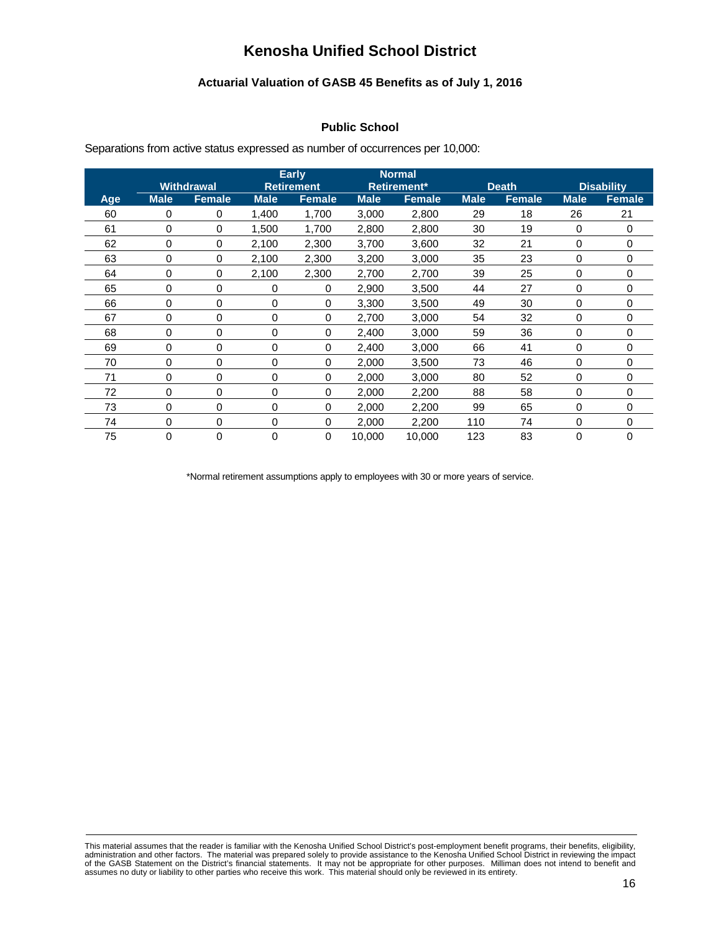# **Actuarial Valuation of GASB 45 Benefits as of July 1, 2016**

# **Public School**

Separations from active status expressed as number of occurrences per 10,000:

|     |             | <b>Withdrawal</b> |             | <b>Early</b><br><b>Retirement</b> | <b>Normal</b><br><b>Retirement*</b> |               | <b>Death</b> |               | <b>Disability</b> |               |
|-----|-------------|-------------------|-------------|-----------------------------------|-------------------------------------|---------------|--------------|---------------|-------------------|---------------|
| Age | <b>Male</b> | <b>Female</b>     | <b>Male</b> | <b>Female</b>                     | <b>Male</b>                         | <b>Female</b> | <b>Male</b>  | <b>Female</b> | <b>Male</b>       | <b>Female</b> |
| 60  | 0           | 0                 | 1,400       | 1,700                             | 3,000                               | 2,800         | 29           | 18            | 26                | 21            |
| 61  | 0           | 0                 | 1,500       | 1,700                             | 2,800                               | 2,800         | 30           | 19            | 0                 | 0             |
| 62  | 0           | 0                 | 2,100       | 2,300                             | 3,700                               | 3,600         | 32           | 21            | 0                 | 0             |
| 63  | 0           | 0                 | 2,100       | 2,300                             | 3,200                               | 3,000         | 35           | 23            | 0                 | 0             |
| 64  | 0           | 0                 | 2,100       | 2,300                             | 2,700                               | 2,700         | 39           | 25            | 0                 | 0             |
| 65  | 0           | 0                 | 0           | 0                                 | 2,900                               | 3,500         | 44           | 27            | 0                 | $\mathbf 0$   |
| 66  | 0           | 0                 | 0           | 0                                 | 3,300                               | 3,500         | 49           | 30            | 0                 | 0             |
| 67  | 0           | 0                 | 0           | 0                                 | 2,700                               | 3,000         | 54           | 32            | 0                 | 0             |
| 68  | 0           | 0                 | 0           | 0                                 | 2,400                               | 3,000         | 59           | 36            | 0                 | 0             |
| 69  | 0           | 0                 | 0           | 0                                 | 2,400                               | 3,000         | 66           | 41            | 0                 | 0             |
| 70  | 0           | 0                 | 0           | 0                                 | 2,000                               | 3,500         | 73           | 46            | 0                 | 0             |
| 71  | 0           | 0                 | 0           | 0                                 | 2,000                               | 3,000         | 80           | 52            | 0                 | 0             |
| 72  | 0           | 0                 | 0           | 0                                 | 2,000                               | 2,200         | 88           | 58            | 0                 | 0             |
| 73  | 0           | 0                 | 0           | 0                                 | 2,000                               | 2,200         | 99           | 65            | 0                 | 0             |
| 74  | 0           | 0                 | 0           | 0                                 | 2,000                               | 2,200         | 110          | 74            | 0                 | 0             |
| 75  | 0           | 0                 | 0           | 0                                 | 10,000                              | 10,000        | 123          | 83            | 0                 | 0             |

\*Normal retirement assumptions apply to employees with 30 or more years of service.

This material assumes that the reader is familiar with the Kenosha Unified School District's post-employment benefit programs, their benefits, eligibility,<br>administration and other factors. The material was prepared solely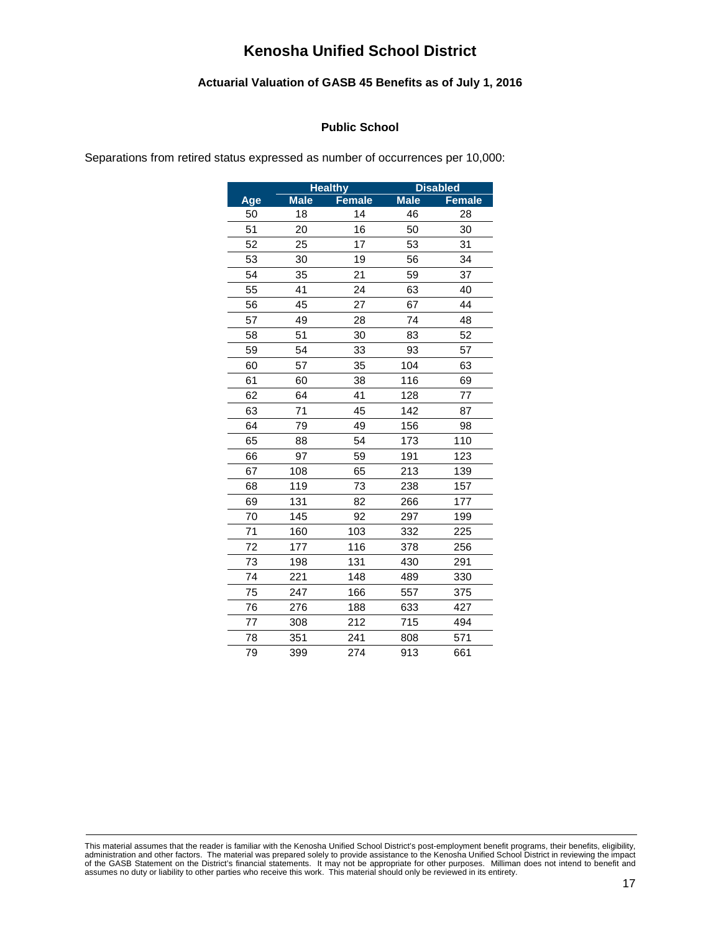## **Actuarial Valuation of GASB 45 Benefits as of July 1, 2016**

### **Public School**

Separations from retired status expressed as number of occurrences per 10,000:

|     |             | <b>Healthy</b> |             | <b>Disabled</b> |
|-----|-------------|----------------|-------------|-----------------|
| Age | <b>Male</b> | <b>Female</b>  | <b>Male</b> | <b>Female</b>   |
| 50  | 18          | 14             | 46          | 28              |
| 51  | 20          | 16             | 50          | 30              |
| 52  | 25          | 17             | 53          | 31              |
| 53  | 30          | 19             | 56          | 34              |
| 54  | 35          | 21             | 59          | 37              |
| 55  | 41          | 24             | 63          | 40              |
| 56  | 45          | 27             | 67          | 44              |
| 57  | 49          | 28             | 74          | 48              |
| 58  | 51          | 30             | 83          | 52              |
| 59  | 54          | 33             | 93          | 57              |
| 60  | 57          | 35             | 104         | 63              |
| 61  | 60          | 38             | 116         | 69              |
| 62  | 64          | 41             | 128         | 77              |
| 63  | 71          | 45             | 142         | 87              |
| 64  | 79          | 49             | 156         | 98              |
| 65  | 88          | 54             | 173         | 110             |
| 66  | 97          | 59             | 191         | 123             |
| 67  | 108         | 65             | 213         | 139             |
| 68  | 119         | 73             | 238         | 157             |
| 69  | 131         | 82             | 266         | 177             |
| 70  | 145         | 92             | 297         | 199             |
| 71  | 160         | 103            | 332         | 225             |
| 72  | 177         | 116            | 378         | 256             |
| 73  | 198         | 131            | 430         | 291             |
| 74  | 221         | 148            | 489         | 330             |
| 75  | 247         | 166            | 557         | 375             |
| 76  | 276         | 188            | 633         | 427             |
| 77  | 308         | 212            | 715         | 494             |
| 78  | 351         | 241            | 808         | 571             |
| 79  | 399         | 274            | 913         | 661             |

This material assumes that the reader is familiar with the Kenosha Unified School District's post-employment benefit programs, their benefits, eligibility,<br>administration and other factors. The material was prepared solely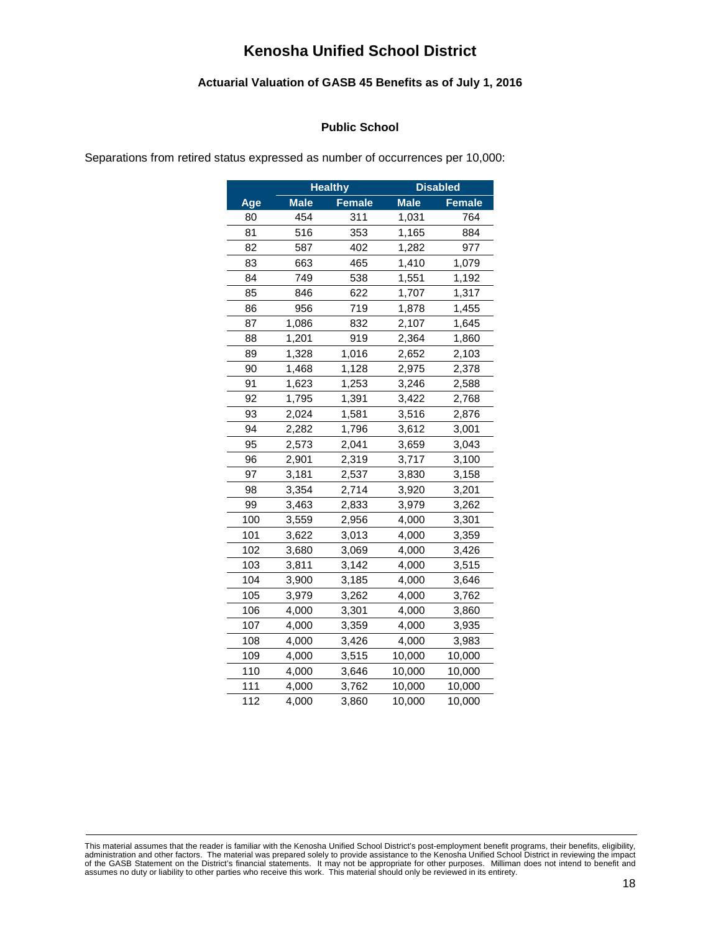## **Actuarial Valuation of GASB 45 Benefits as of July 1, 2016**

### **Public School**

Separations from retired status expressed as number of occurrences per 10,000:

|     |             | <b>Healthy</b> |             | <b>Disabled</b> |
|-----|-------------|----------------|-------------|-----------------|
| Age | <b>Male</b> | <b>Female</b>  | <b>Male</b> | <b>Female</b>   |
| 80  | 454         | 311            | 1,031       | 764             |
| 81  | 516         | 353            | 1,165       | 884             |
| 82  | 587         | 402            | 1,282       | 977             |
| 83  | 663         | 465            | 1,410       | 1,079           |
| 84  | 749         | 538            | 1,551       | 1,192           |
| 85  | 846         | 622            | 1,707       | 1,317           |
| 86  | 956         | 719            | 1,878       | 1,455           |
| 87  | 1,086       | 832            | 2,107       | 1,645           |
| 88  | 1,201       | 919            | 2,364       | 1,860           |
| 89  | 1,328       | 1,016          | 2,652       | 2,103           |
| 90  | 1,468       | 1,128          | 2,975       | 2,378           |
| 91  | 1,623       | 1,253          | 3,246       | 2,588           |
| 92  | 1,795       | 1,391          | 3,422       | 2,768           |
| 93  | 2,024       | 1,581          | 3,516       | 2,876           |
| 94  | 2,282       | 1,796          | 3,612       | 3,001           |
| 95  | 2,573       | 2,041          | 3,659       | 3,043           |
| 96  | 2,901       | 2,319          | 3,717       | 3,100           |
| 97  | 3,181       | 2,537          | 3,830       | 3,158           |
| 98  | 3,354       | 2,714          | 3,920       | 3,201           |
| 99  | 3,463       | 2,833          | 3,979       | 3,262           |
| 100 | 3,559       | 2,956          | 4,000       | 3,301           |
| 101 | 3,622       | 3,013          | 4,000       | 3,359           |
| 102 | 3,680       | 3,069          | 4,000       | 3,426           |
| 103 | 3,811       | 3,142          | 4,000       | 3,515           |
| 104 | 3,900       | 3,185          | 4,000       | 3,646           |
| 105 | 3,979       | 3,262          | 4,000       | 3,762           |
| 106 | 4,000       | 3,301          | 4,000       | 3,860           |
| 107 | 4,000       | 3,359          | 4,000       | 3,935           |
| 108 | 4,000       | 3,426          | 4,000       | 3,983           |
| 109 | 4,000       | 3,515          | 10,000      | 10,000          |
| 110 | 4,000       | 3,646          | 10,000      | 10,000          |
| 111 | 4,000       | 3,762          | 10,000      | 10,000          |
| 112 | 4,000       | 3,860          | 10,000      | 10,000          |

This material assumes that the reader is familiar with the Kenosha Unified School District's post-employment benefit programs, their benefits, eligibility,<br>administration and other factors. The material was prepared solely